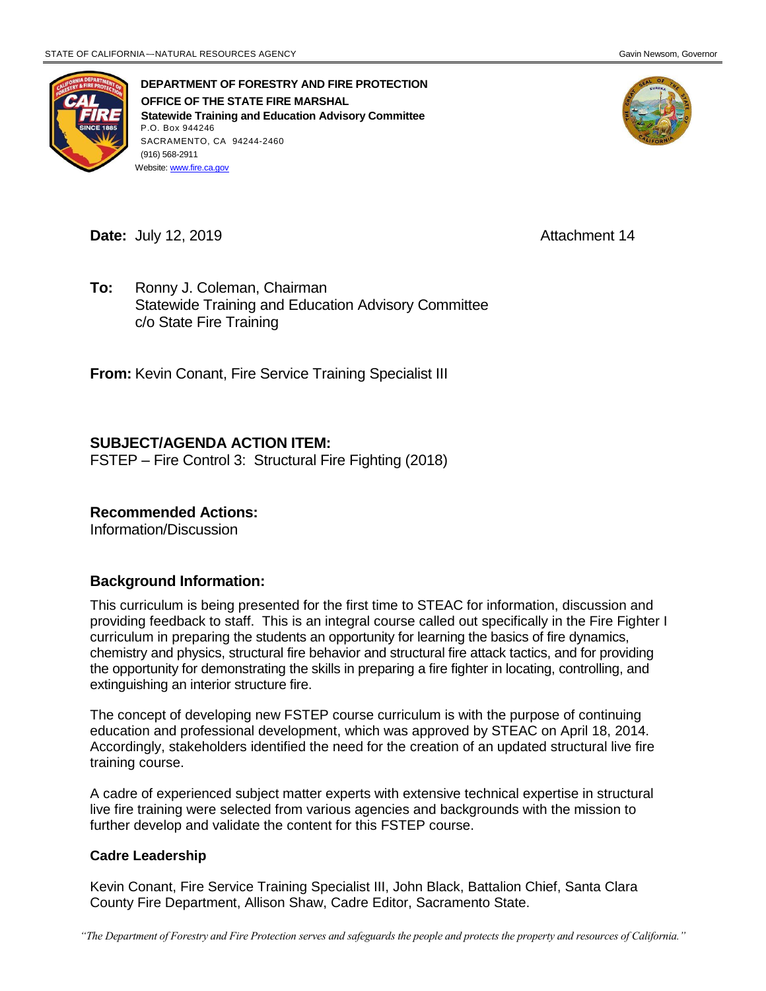

**DEPARTMENT OF FORESTRY AND FIRE PROTECTION OFFICE OF THE STATE FIRE MARSHAL Statewide Training and Education Advisory Committee** P.O. Box 944246 SACRAMENTO, CA 94244-2460 (916) 568-2911 Website[: www.fire.ca.gov](http://www.fire.ca.gov/)



**Date:** July 12, 2019 **Attachment 14** 

**To:** Ronny J. Coleman, Chairman Statewide Training and Education Advisory Committee c/o State Fire Training

**From:** Kevin Conant, Fire Service Training Specialist III

#### **SUBJECT/AGENDA ACTION ITEM:**

FSTEP – Fire Control 3: Structural Fire Fighting (2018)

#### **Recommended Actions:**

Information/Discussion

#### **Background Information:**

This curriculum is being presented for the first time to STEAC for information, discussion and providing feedback to staff. This is an integral course called out specifically in the Fire Fighter I curriculum in preparing the students an opportunity for learning the basics of fire dynamics, chemistry and physics, structural fire behavior and structural fire attack tactics, and for providing the opportunity for demonstrating the skills in preparing a fire fighter in locating, controlling, and extinguishing an interior structure fire.

The concept of developing new FSTEP course curriculum is with the purpose of continuing education and professional development, which was approved by STEAC on April 18, 2014. Accordingly, stakeholders identified the need for the creation of an updated structural live fire training course.

A cadre of experienced subject matter experts with extensive technical expertise in structural live fire training were selected from various agencies and backgrounds with the mission to further develop and validate the content for this FSTEP course.

#### **Cadre Leadership**

Kevin Conant, Fire Service Training Specialist III, John Black, Battalion Chief, Santa Clara County Fire Department, Allison Shaw, Cadre Editor, Sacramento State.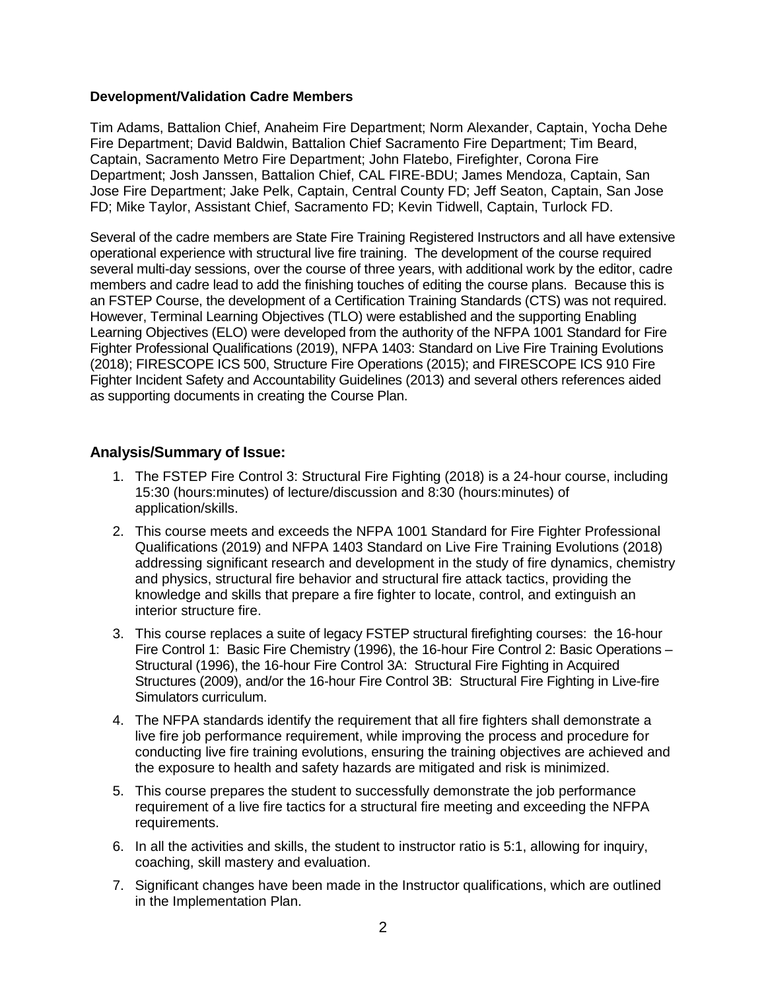#### **Development/Validation Cadre Members**

Tim Adams, Battalion Chief, Anaheim Fire Department; Norm Alexander, Captain, Yocha Dehe Fire Department; David Baldwin, Battalion Chief Sacramento Fire Department; Tim Beard, Captain, Sacramento Metro Fire Department; John Flatebo, Firefighter, Corona Fire Department; Josh Janssen, Battalion Chief, CAL FIRE-BDU; James Mendoza, Captain, San Jose Fire Department; Jake Pelk, Captain, Central County FD; Jeff Seaton, Captain, San Jose FD; Mike Taylor, Assistant Chief, Sacramento FD; Kevin Tidwell, Captain, Turlock FD.

Several of the cadre members are State Fire Training Registered Instructors and all have extensive operational experience with structural live fire training. The development of the course required several multi-day sessions, over the course of three years, with additional work by the editor, cadre members and cadre lead to add the finishing touches of editing the course plans. Because this is an FSTEP Course, the development of a Certification Training Standards (CTS) was not required. However, Terminal Learning Objectives (TLO) were established and the supporting Enabling Learning Objectives (ELO) were developed from the authority of the NFPA 1001 Standard for Fire Fighter Professional Qualifications (2019), NFPA 1403: Standard on Live Fire Training Evolutions (2018); FIRESCOPE ICS 500, Structure Fire Operations (2015); and FIRESCOPE ICS 910 Fire Fighter Incident Safety and Accountability Guidelines (2013) and several others references aided as supporting documents in creating the Course Plan.

#### **Analysis/Summary of Issue:**

- 1. The FSTEP Fire Control 3: Structural Fire Fighting (2018) is a 24-hour course, including 15:30 (hours:minutes) of lecture/discussion and 8:30 (hours:minutes) of application/skills.
- 2. This course meets and exceeds the NFPA 1001 Standard for Fire Fighter Professional Qualifications (2019) and NFPA 1403 Standard on Live Fire Training Evolutions (2018) addressing significant research and development in the study of fire dynamics, chemistry and physics, structural fire behavior and structural fire attack tactics, providing the knowledge and skills that prepare a fire fighter to locate, control, and extinguish an interior structure fire.
- 3. This course replaces a suite of legacy FSTEP structural firefighting courses: the 16-hour Fire Control 1: Basic Fire Chemistry (1996), the 16-hour Fire Control 2: Basic Operations – Structural (1996), the 16-hour Fire Control 3A: Structural Fire Fighting in Acquired Structures (2009), and/or the 16-hour Fire Control 3B: Structural Fire Fighting in Live-fire Simulators curriculum.
- 4. The NFPA standards identify the requirement that all fire fighters shall demonstrate a live fire job performance requirement, while improving the process and procedure for conducting live fire training evolutions, ensuring the training objectives are achieved and the exposure to health and safety hazards are mitigated and risk is minimized.
- 5. This course prepares the student to successfully demonstrate the job performance requirement of a live fire tactics for a structural fire meeting and exceeding the NFPA requirements.
- 6. In all the activities and skills, the student to instructor ratio is 5:1, allowing for inquiry, coaching, skill mastery and evaluation.
- 7. Significant changes have been made in the Instructor qualifications, which are outlined in the Implementation Plan.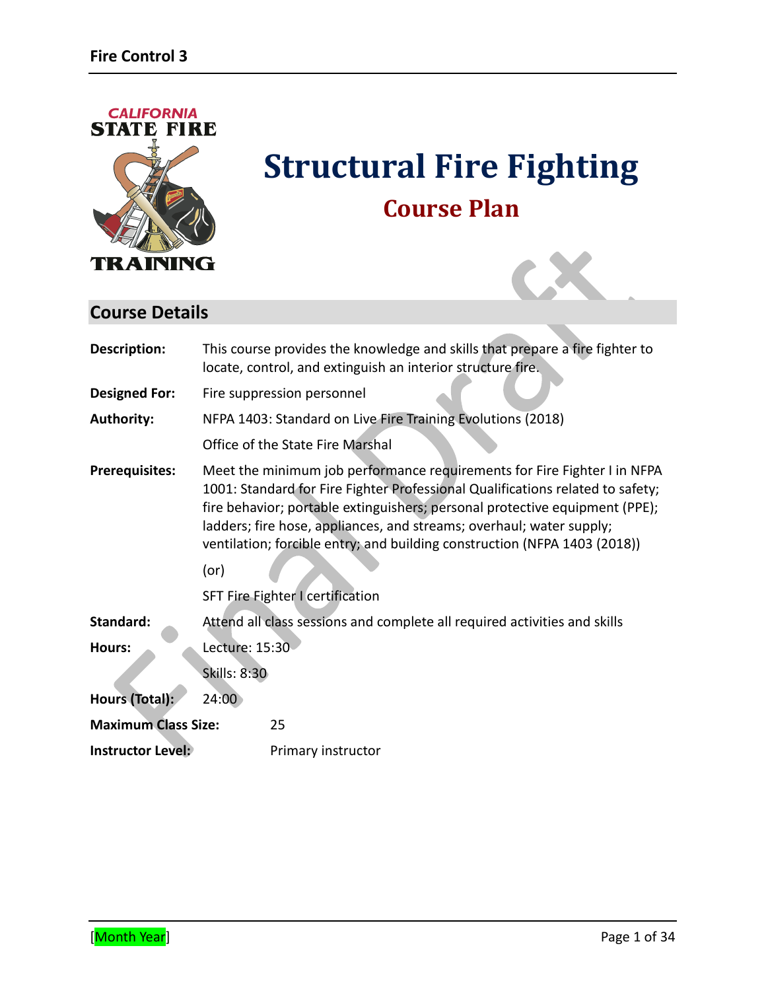

# **Structural Fire Fighting Course Plan**



# **Course Details**

| Description:               |                                                                           | This course provides the knowledge and skills that prepare a fire fighter to<br>locate, control, and extinguish an interior structure fire.                                                                                                                                                                                                                                                                                        |
|----------------------------|---------------------------------------------------------------------------|------------------------------------------------------------------------------------------------------------------------------------------------------------------------------------------------------------------------------------------------------------------------------------------------------------------------------------------------------------------------------------------------------------------------------------|
| <b>Designed For:</b>       |                                                                           | Fire suppression personnel                                                                                                                                                                                                                                                                                                                                                                                                         |
| <b>Authority:</b>          |                                                                           | NFPA 1403: Standard on Live Fire Training Evolutions (2018)                                                                                                                                                                                                                                                                                                                                                                        |
|                            |                                                                           | Office of the State Fire Marshal                                                                                                                                                                                                                                                                                                                                                                                                   |
| <b>Prerequisites:</b>      | (or)                                                                      | Meet the minimum job performance requirements for Fire Fighter I in NFPA<br>1001: Standard for Fire Fighter Professional Qualifications related to safety;<br>fire behavior; portable extinguishers; personal protective equipment (PPE);<br>ladders; fire hose, appliances, and streams; overhaul; water supply;<br>ventilation; forcible entry; and building construction (NFPA 1403 (2018))<br>SFT Fire Fighter I certification |
| Standard:                  | Attend all class sessions and complete all required activities and skills |                                                                                                                                                                                                                                                                                                                                                                                                                                    |
| Hours:                     | Lecture: 15:30                                                            |                                                                                                                                                                                                                                                                                                                                                                                                                                    |
|                            | <b>Skills: 8:30</b>                                                       |                                                                                                                                                                                                                                                                                                                                                                                                                                    |
| Hours (Total):             | 24:00                                                                     |                                                                                                                                                                                                                                                                                                                                                                                                                                    |
| <b>Maximum Class Size:</b> |                                                                           | 25                                                                                                                                                                                                                                                                                                                                                                                                                                 |
| <b>Instructor Level:</b>   |                                                                           | Primary instructor                                                                                                                                                                                                                                                                                                                                                                                                                 |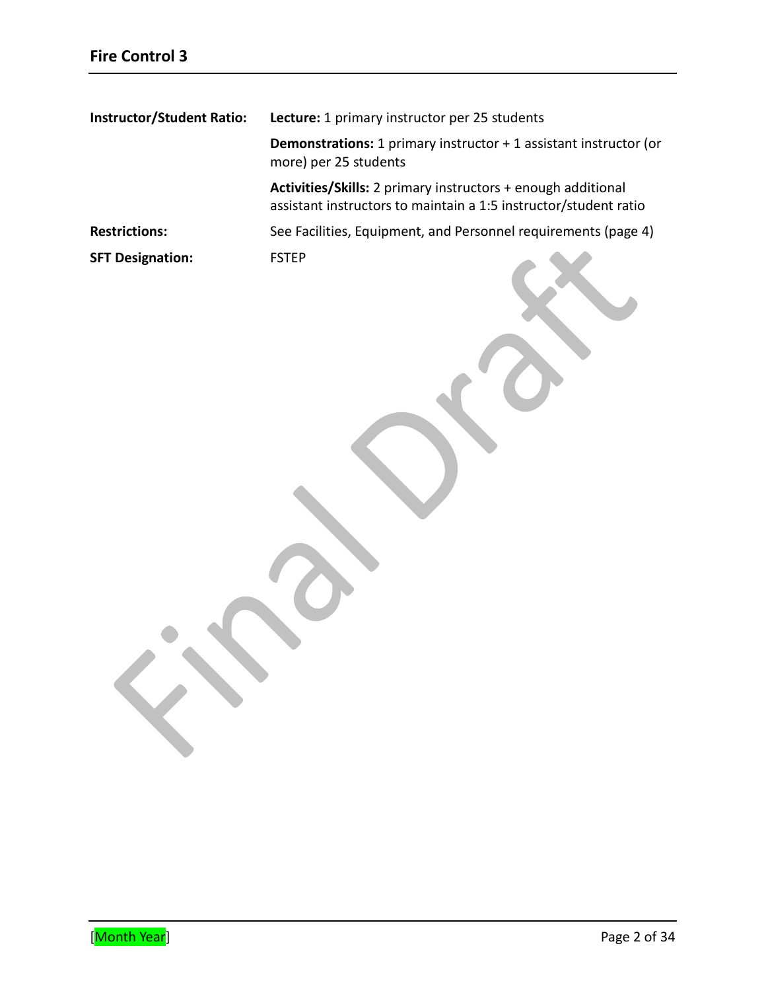| <b>Instructor/Student Ratio:</b> | <b>Lecture:</b> 1 primary instructor per 25 students                                                                             |  |
|----------------------------------|----------------------------------------------------------------------------------------------------------------------------------|--|
|                                  | <b>Demonstrations:</b> 1 primary instructor $+$ 1 assistant instructor (or<br>more) per 25 students                              |  |
|                                  | Activities/Skills: 2 primary instructors + enough additional<br>assistant instructors to maintain a 1:5 instructor/student ratio |  |
| <b>Restrictions:</b>             | See Facilities, Equipment, and Personnel requirements (page 4)                                                                   |  |
| <b>SFT Designation:</b>          | <b>FSTEP</b>                                                                                                                     |  |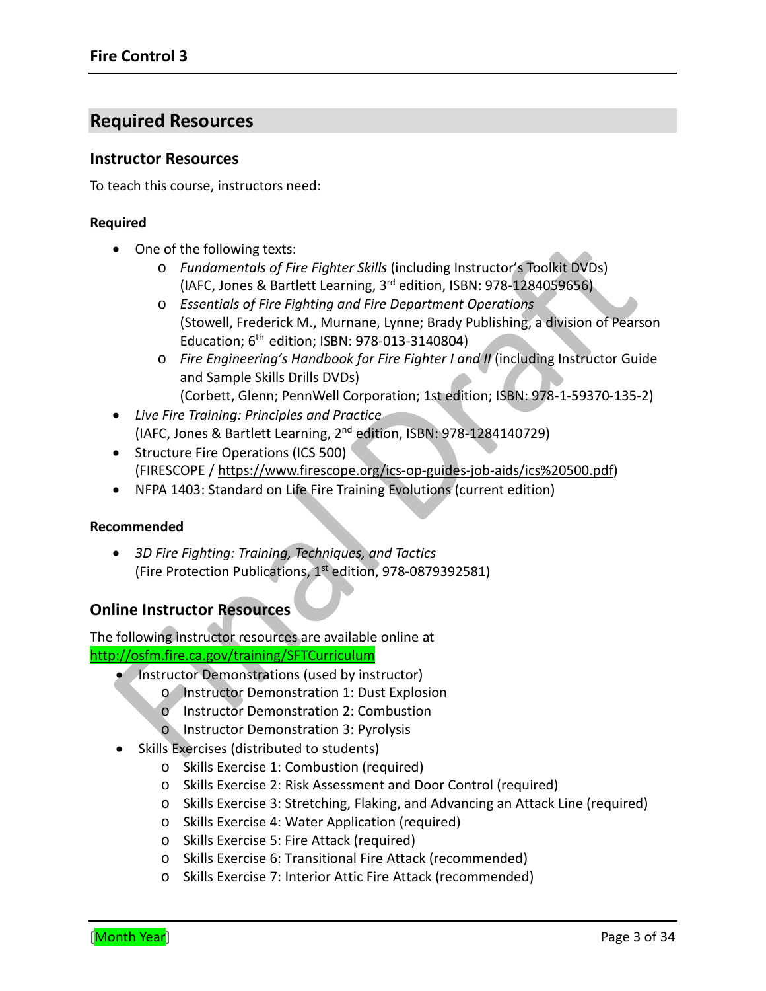# **Required Resources**

#### **Instructor Resources**

To teach this course, instructors need:

#### **Required**

- One of the following texts:
	- o *Fundamentals of Fire Fighter Skills* (including Instructor's Toolkit DVDs) (IAFC, Jones & Bartlett Learning, 3rd edition, ISBN: 978-1284059656)
	- o *Essentials of Fire Fighting and Fire Department Operations* (Stowell, Frederick M., Murnane, Lynne; Brady Publishing, a division of Pearson Education;  $6^{th}$  edition; ISBN: 978-013-3140804)
	- o *Fire Engineering's Handbook for Fire Fighter I and II* (including Instructor Guide and Sample Skills Drills DVDs) (Corbett, Glenn; PennWell Corporation; 1st edition; ISBN: 978-1-59370-135-2)
- *Live Fire Training: Principles and Practice* (IAFC, Jones & Bartlett Learning, 2nd edition, ISBN: 978-1284140729)
- Structure Fire Operations (ICS 500) (FIRESCOPE / [https://www.firescope.org/ics-op-guides-job-aids/ics%20500.pdf\)](https://www.firescope.org/ics-op-guides-job-aids/ics%20500.pdf)
- NFPA 1403: Standard on Life Fire Training Evolutions (current edition)

#### **Recommended**

• *3D Fire Fighting: Training, Techniques, and Tactics* (Fire Protection Publications, 1st edition, 978-0879392581)

### **Online Instructor Resources**

The following instructor resources are available online at <http://osfm.fire.ca.gov/training/SFTCurriculum>

- Instructor Demonstrations (used by instructor)
	- o Instructor Demonstration 1: Dust Explosion
	- o Instructor Demonstration 2: Combustion
	- o Instructor Demonstration 3: Pyrolysis
- Skills Exercises (distributed to students)
	- o Skills Exercise 1: Combustion (required)
	- o Skills Exercise 2: Risk Assessment and Door Control (required)
	- o Skills Exercise 3: Stretching, Flaking, and Advancing an Attack Line (required)
	- o Skills Exercise 4: Water Application (required)
	- o Skills Exercise 5: Fire Attack (required)
	- o Skills Exercise 6: Transitional Fire Attack (recommended)
	- o Skills Exercise 7: Interior Attic Fire Attack (recommended)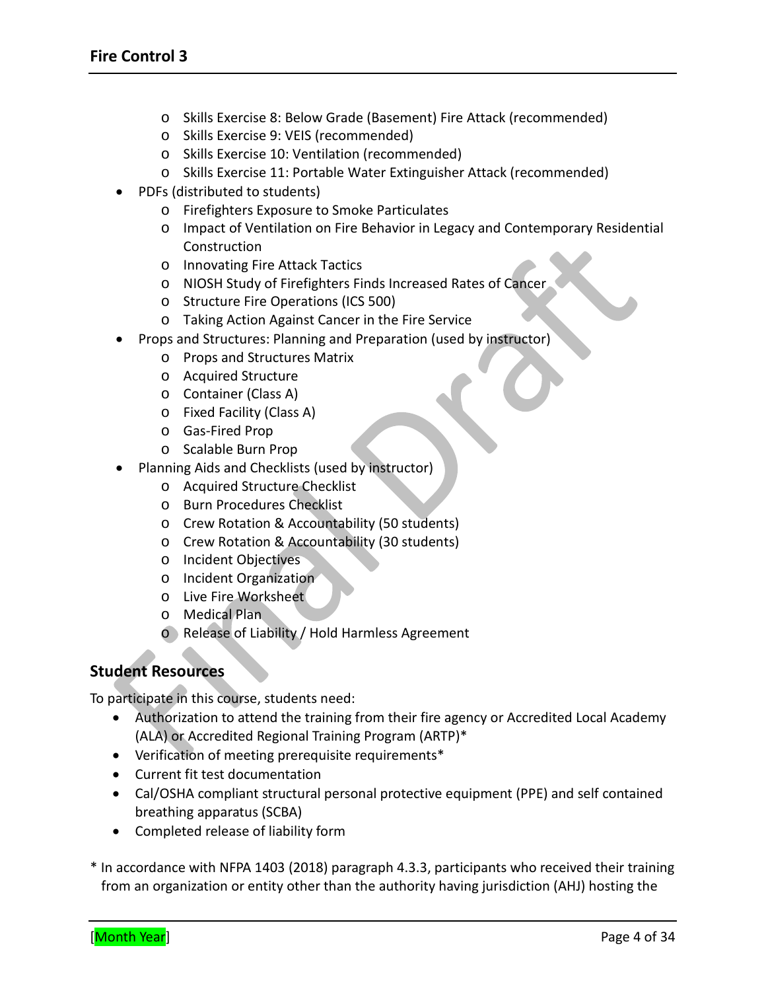- o Skills Exercise 8: Below Grade (Basement) Fire Attack (recommended)
- o Skills Exercise 9: VEIS (recommended)
- o Skills Exercise 10: Ventilation (recommended)
- o Skills Exercise 11: Portable Water Extinguisher Attack (recommended)
- PDFs (distributed to students)
	- o Firefighters Exposure to Smoke Particulates
	- o Impact of Ventilation on Fire Behavior in Legacy and Contemporary Residential Construction
	- o Innovating Fire Attack Tactics
	- o NIOSH Study of Firefighters Finds Increased Rates of Cancer
	- o Structure Fire Operations (ICS 500)
	- o Taking Action Against Cancer in the Fire Service
- Props and Structures: Planning and Preparation (used by instructor)
	- o Props and Structures Matrix
	- o Acquired Structure
	- o Container (Class A)
	- o Fixed Facility (Class A)
	- o Gas-Fired Prop
	- o Scalable Burn Prop
- Planning Aids and Checklists (used by instructor)
	- o Acquired Structure Checklist
	- o Burn Procedures Checklist
	- o Crew Rotation & Accountability (50 students)
	- o Crew Rotation & Accountability (30 students)
	- o Incident Objectives
	- o Incident Organization
	- o Live Fire Worksheet
	- o Medical Plan
	- o Release of Liability / Hold Harmless Agreement

# **Student Resources**

To participate in this course, students need:

- Authorization to attend the training from their fire agency or Accredited Local Academy (ALA) or Accredited Regional Training Program (ARTP)\*
- Verification of meeting prerequisite requirements\*
- Current fit test documentation
- Cal/OSHA compliant structural personal protective equipment (PPE) and self contained breathing apparatus (SCBA)
- Completed release of liability form

\* In accordance with NFPA 1403 (2018) paragraph 4.3.3, participants who received their training from an organization or entity other than the authority having jurisdiction (AHJ) hosting the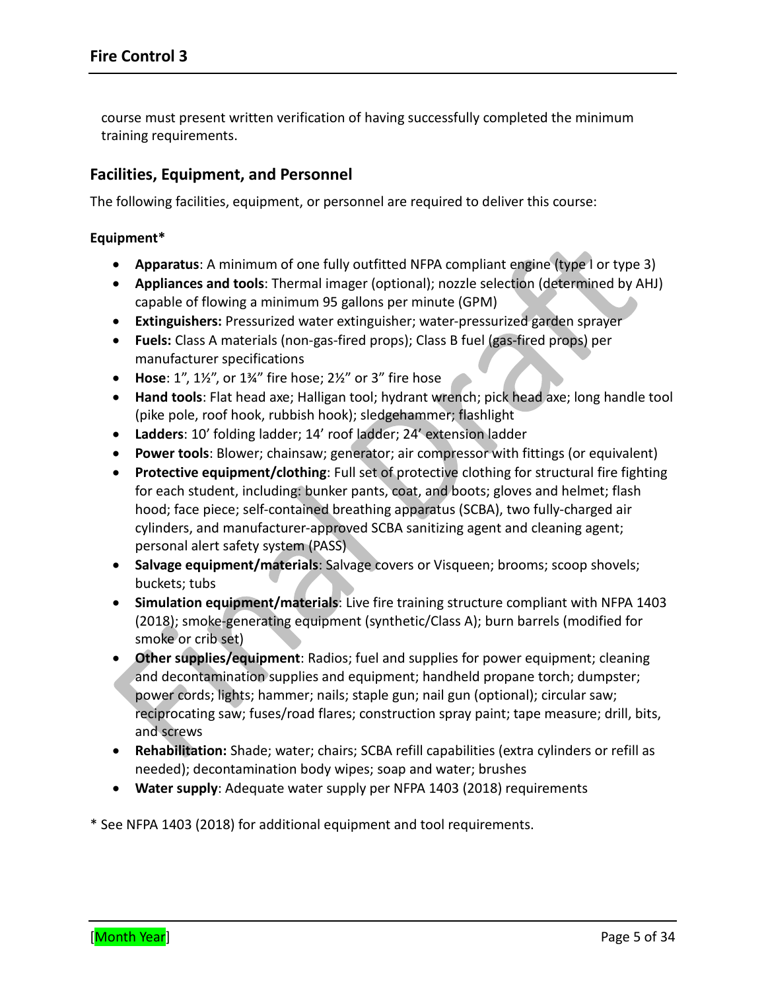course must present written verification of having successfully completed the minimum training requirements.

### **Facilities, Equipment, and Personnel**

The following facilities, equipment, or personnel are required to deliver this course:

#### **Equipment\***

- **Apparatus**: A minimum of one fully outfitted NFPA compliant engine (type I or type 3)
- **Appliances and tools**: Thermal imager (optional); nozzle selection (determined by AHJ) capable of flowing a minimum 95 gallons per minute (GPM)
- **Extinguishers:** Pressurized water extinguisher; water-pressurized garden sprayer
- **Fuels:** Class A materials (non-gas-fired props); Class B fuel (gas-fired props) per manufacturer specifications
- **Hose**: 1", 1½", or 1¾" fire hose; 2½" or 3" fire hose
- **Hand tools**: Flat head axe; Halligan tool; hydrant wrench; pick head axe; long handle tool (pike pole, roof hook, rubbish hook); sledgehammer; flashlight
- **Ladders**: 10' folding ladder; 14' roof ladder; 24' extension ladder
- **Power tools**: Blower; chainsaw; generator; air compressor with fittings (or equivalent)
- **Protective equipment/clothing**: Full set of protective clothing for structural fire fighting for each student, including: bunker pants, coat, and boots; gloves and helmet; flash hood; face piece; self-contained breathing apparatus (SCBA), two fully-charged air cylinders, and manufacturer-approved SCBA sanitizing agent and cleaning agent; personal alert safety system (PASS)
- **Salvage equipment/materials**: Salvage covers or Visqueen; brooms; scoop shovels; buckets; tubs
- **Simulation equipment/materials**: Live fire training structure compliant with NFPA 1403 (2018); smoke-generating equipment (synthetic/Class A); burn barrels (modified for smoke or crib set)
- **Other supplies/equipment**: Radios; fuel and supplies for power equipment; cleaning and decontamination supplies and equipment; handheld propane torch; dumpster; power cords; lights; hammer; nails; staple gun; nail gun (optional); circular saw; reciprocating saw; fuses/road flares; construction spray paint; tape measure; drill, bits, and screws
- **Rehabilitation:** Shade; water; chairs; SCBA refill capabilities (extra cylinders or refill as needed); decontamination body wipes; soap and water; brushes
- **Water supply**: Adequate water supply per NFPA 1403 (2018) requirements

\* See NFPA 1403 (2018) for additional equipment and tool requirements.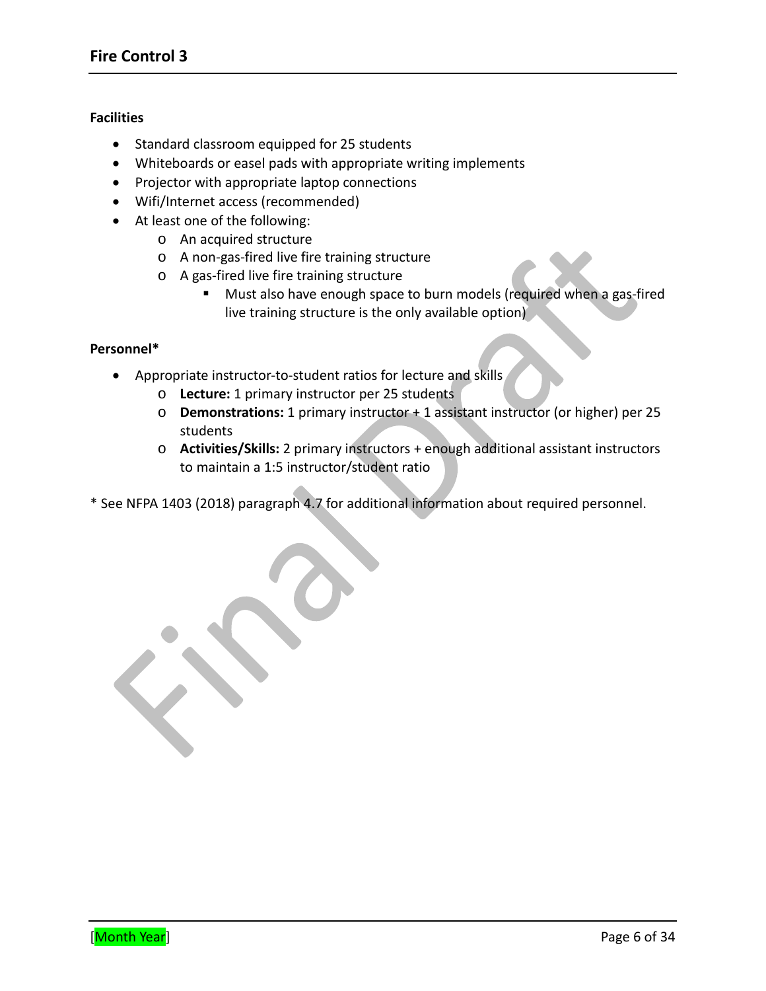#### **Facilities**

- Standard classroom equipped for 25 students
- Whiteboards or easel pads with appropriate writing implements
- Projector with appropriate laptop connections
- Wifi/Internet access (recommended)
- At least one of the following:
	- o An acquired structure
	- o A non-gas-fired live fire training structure
	- o A gas-fired live fire training structure
		- Must also have enough space to burn models (required when a gas-fired live training structure is the only available option)

#### **Personnel\***

- Appropriate instructor-to-student ratios for lecture and skills
	- o **Lecture:** 1 primary instructor per 25 students
	- o **Demonstrations:** 1 primary instructor + 1 assistant instructor (or higher) per 25 students
	- o **Activities/Skills:** 2 primary instructors + enough additional assistant instructors to maintain a 1:5 instructor/student ratio
- \* See NFPA 1403 (2018) paragraph 4.7 for additional information about required personnel.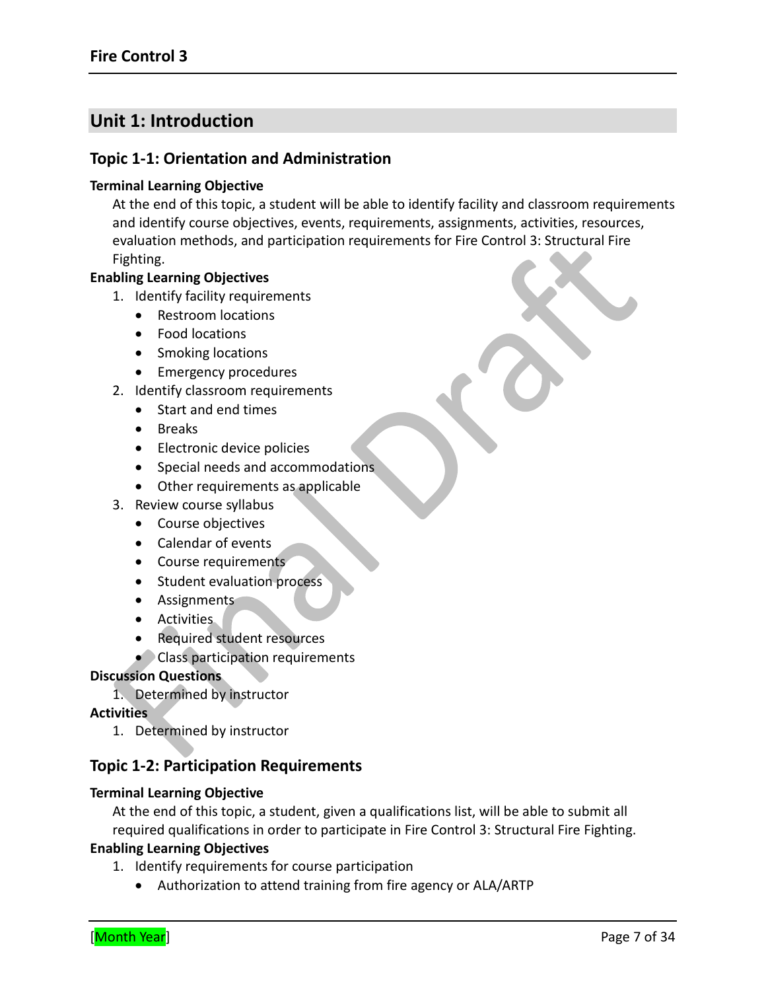# **Unit 1: Introduction**

#### **Topic 1-1: Orientation and Administration**

#### **Terminal Learning Objective**

At the end of this topic, a student will be able to identify facility and classroom requirements and identify course objectives, events, requirements, assignments, activities, resources, evaluation methods, and participation requirements for Fire Control 3: Structural Fire Fighting.

#### **Enabling Learning Objectives**

- 1. Identify facility requirements
	- Restroom locations
	- Food locations
	- Smoking locations
	- Emergency procedures
- 2. Identify classroom requirements
	- Start and end times
	- Breaks
	- Electronic device policies
	- Special needs and accommodations
	- Other requirements as applicable
- 3. Review course syllabus
	- Course objectives
	- Calendar of events
	- Course requirements
	- Student evaluation process
	- Assignments
	- Activities
	- Required student resources
	- Class participation requirements

#### **Discussion Questions**

1. Determined by instructor

#### **Activities**

1. Determined by instructor

# **Topic 1-2: Participation Requirements**

#### **Terminal Learning Objective**

At the end of this topic, a student, given a qualifications list, will be able to submit all required qualifications in order to participate in Fire Control 3: Structural Fire Fighting.

#### **Enabling Learning Objectives**

1. Identify requirements for course participation

• Authorization to attend training from fire agency or ALA/ARTP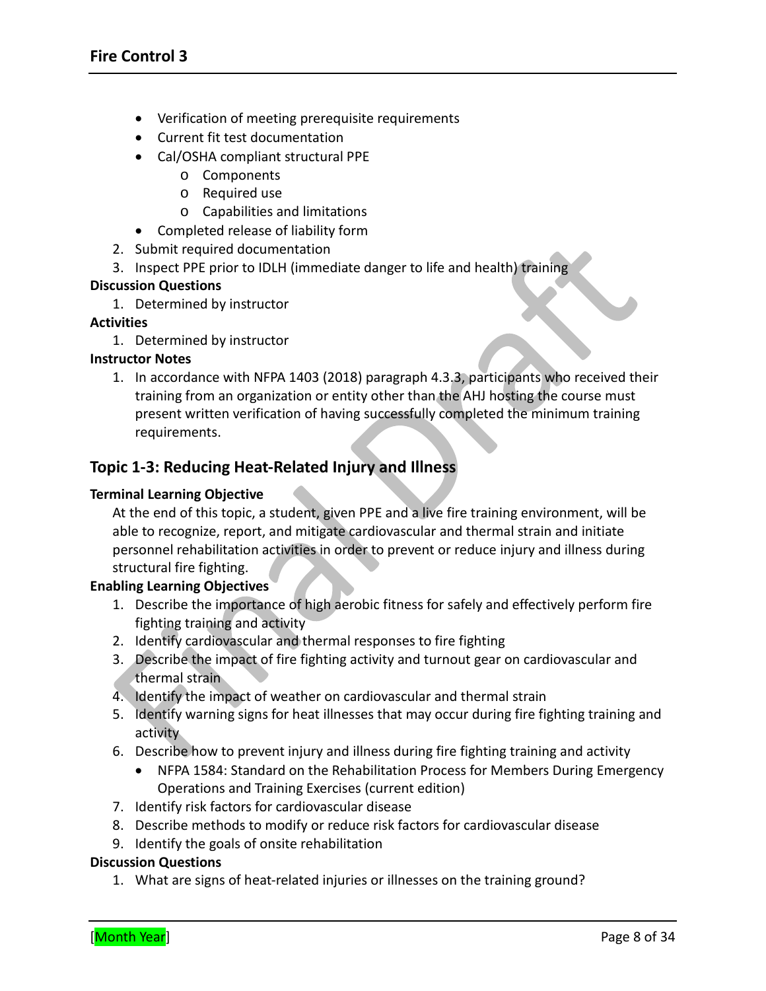- Verification of meeting prerequisite requirements
- Current fit test documentation
- Cal/OSHA compliant structural PPE
	- o Components
	- o Required use
	- o Capabilities and limitations
- Completed release of liability form
- 2. Submit required documentation
- 3. Inspect PPE prior to IDLH (immediate danger to life and health) training

1. Determined by instructor

#### **Activities**

1. Determined by instructor

#### **Instructor Notes**

1. In accordance with NFPA 1403 (2018) paragraph 4.3.3, participants who received their training from an organization or entity other than the AHJ hosting the course must present written verification of having successfully completed the minimum training requirements.

# **Topic 1-3: Reducing Heat-Related Injury and Illness**

#### **Terminal Learning Objective**

At the end of this topic, a student, given PPE and a live fire training environment, will be able to recognize, report, and mitigate cardiovascular and thermal strain and initiate personnel rehabilitation activities in order to prevent or reduce injury and illness during structural fire fighting.

#### **Enabling Learning Objectives**

- 1. Describe the importance of high aerobic fitness for safely and effectively perform fire fighting training and activity
- 2. Identify cardiovascular and thermal responses to fire fighting
- 3. Describe the impact of fire fighting activity and turnout gear on cardiovascular and thermal strain
- 4. Identify the impact of weather on cardiovascular and thermal strain
- 5. Identify warning signs for heat illnesses that may occur during fire fighting training and activity
- 6. Describe how to prevent injury and illness during fire fighting training and activity
	- NFPA 1584: Standard on the Rehabilitation Process for Members During Emergency Operations and Training Exercises (current edition)
- 7. Identify risk factors for cardiovascular disease
- 8. Describe methods to modify or reduce risk factors for cardiovascular disease
- 9. Identify the goals of onsite rehabilitation

#### **Discussion Questions**

1. What are signs of heat-related injuries or illnesses on the training ground?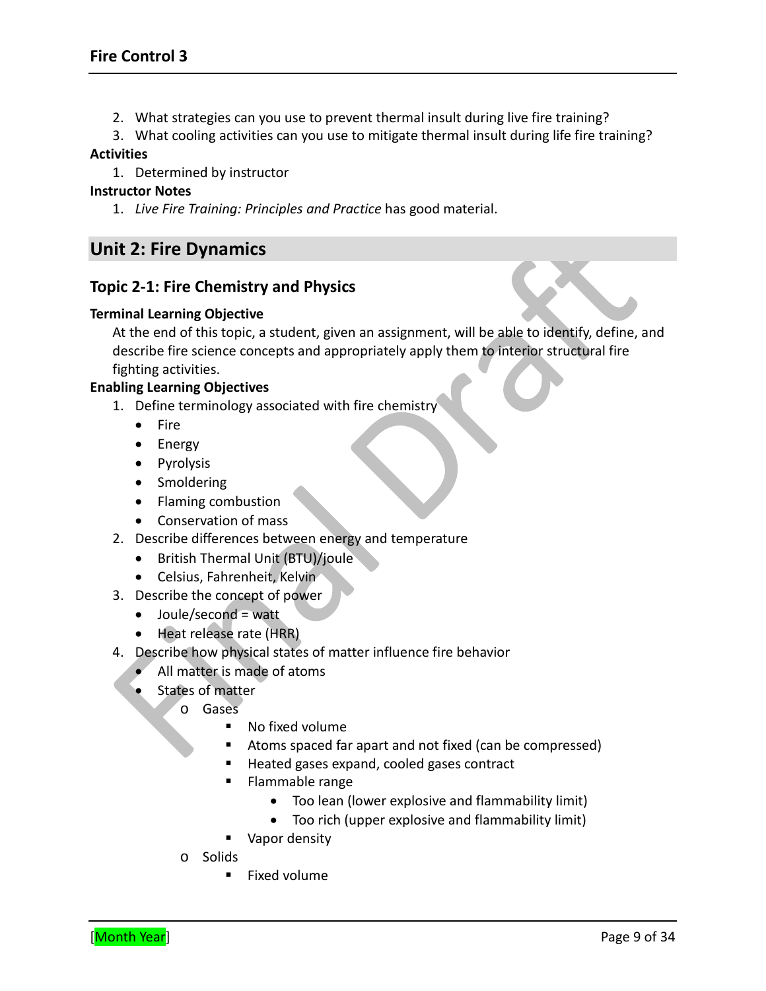2. What strategies can you use to prevent thermal insult during live fire training?

3. What cooling activities can you use to mitigate thermal insult during life fire training?

#### **Activities**

1. Determined by instructor

#### **Instructor Notes**

1. *Live Fire Training: Principles and Practice* has good material.

# **Unit 2: Fire Dynamics**

### **Topic 2-1: Fire Chemistry and Physics**

#### **Terminal Learning Objective**

At the end of this topic, a student, given an assignment, will be able to identify, define, and describe fire science concepts and appropriately apply them to interior structural fire fighting activities.

#### **Enabling Learning Objectives**

- 1. Define terminology associated with fire chemistry
	- Fire
	- Energy
	- Pyrolysis
	- Smoldering
	- Flaming combustion
	- Conservation of mass
- 2. Describe differences between energy and temperature
	- British Thermal Unit (BTU)/joule
	- Celsius, Fahrenheit, Kelvin
- 3. Describe the concept of power
	- Joule/second = watt
	- Heat release rate (HRR)
- 4. Describe how physical states of matter influence fire behavior
	- All matter is made of atoms
	- States of matter
		- o Gases
			- No fixed volume
			- Atoms spaced far apart and not fixed (can be compressed)
			- Heated gases expand, cooled gases contract
			- **Flammable range** 
				- Too lean (lower explosive and flammability limit)
				- Too rich (upper explosive and flammability limit)
			- **Vapor density**
		- o Solids
			- **Fixed volume**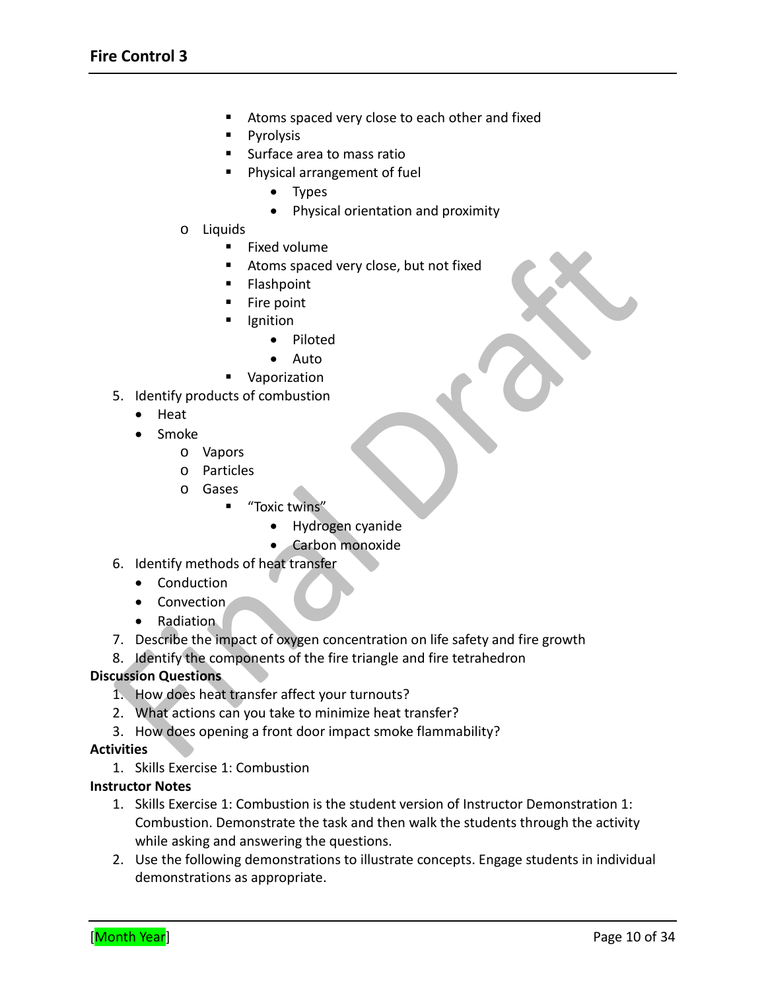- **Atoms spaced very close to each other and fixed**
- Pyrolysis
- **Surface area to mass ratio**
- **Physical arrangement of fuel** 
	- Types
	- Physical orientation and proximity
- o Liquids
	- **Fixed volume**
	- **Atoms spaced very close, but not fixed**
	- Flashpoint
	- **Fire point**
	- Ignition
		- Piloted
		- Auto
	- **Vaporization**
- 5. Identify products of combustion
	- Heat
	- Smoke
		- o Vapors
		- o Particles
		- o Gases
			- "Toxic twins"
				- Hydrogen cyanide
				- Carbon monoxide
- 6. Identify methods of heat transfer
	- Conduction
	- Convection
	- Radiation
- 7. Describe the impact of oxygen concentration on life safety and fire growth
- 8. Identify the components of the fire triangle and fire tetrahedron

- 1. How does heat transfer affect your turnouts?
- 2. What actions can you take to minimize heat transfer?
- 3. How does opening a front door impact smoke flammability?

#### **Activities**

1. Skills Exercise 1: Combustion

#### **Instructor Notes**

- 1. Skills Exercise 1: Combustion is the student version of Instructor Demonstration 1: Combustion. Demonstrate the task and then walk the students through the activity while asking and answering the questions.
- 2. Use the following demonstrations to illustrate concepts. Engage students in individual demonstrations as appropriate.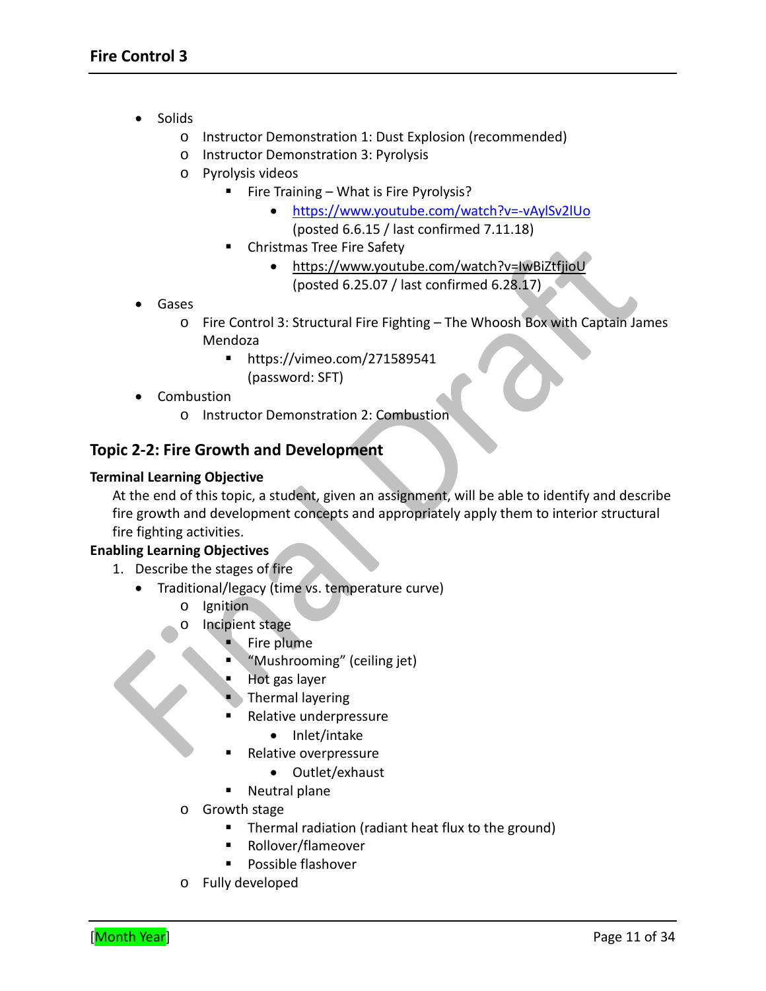- Solids
	- o Instructor Demonstration 1: Dust Explosion (recommended)
	- o Instructor Demonstration 3: Pyrolysis
	- o Pyrolysis videos
		- Fire Training What is Fire Pyrolysis?
			- <https://www.youtube.com/watch?v=-vAylSv2lUo> (posted 6.6.15 / last confirmed 7.11.18)
		- **EXEC** Christmas Tree Fire Safety
			- <https://www.youtube.com/watch?v=IwBiZtfjioU> (posted 6.25.07 / last confirmed 6.28.17)
- Gases
	- o Fire Control 3: Structural Fire Fighting The Whoosh Box with Captain James Mendoza
		- <https://vimeo.com/271589541> (password: SFT)
- Combustion
	- o Instructor Demonstration 2: Combustion

### **Topic 2-2: Fire Growth and Development**

#### **Terminal Learning Objective**

At the end of this topic, a student, given an assignment, will be able to identify and describe fire growth and development concepts and appropriately apply them to interior structural fire fighting activities.

#### **Enabling Learning Objectives**

- 1. Describe the stages of fire
	- Traditional/legacy (time vs. temperature curve)
		- o Ignition
		- o Incipient stage
			- Fire plume
			- "Mushrooming" (ceiling jet)
			- Hot gas layer
			- Thermal layering
			- Relative underpressure
				- Inlet/intake
			- Relative overpressure
				- Outlet/exhaust
			- Neutral plane
		- o Growth stage
			- Thermal radiation (radiant heat flux to the ground)
			- Rollover/flameover
			- **Possible flashover**
		- o Fully developed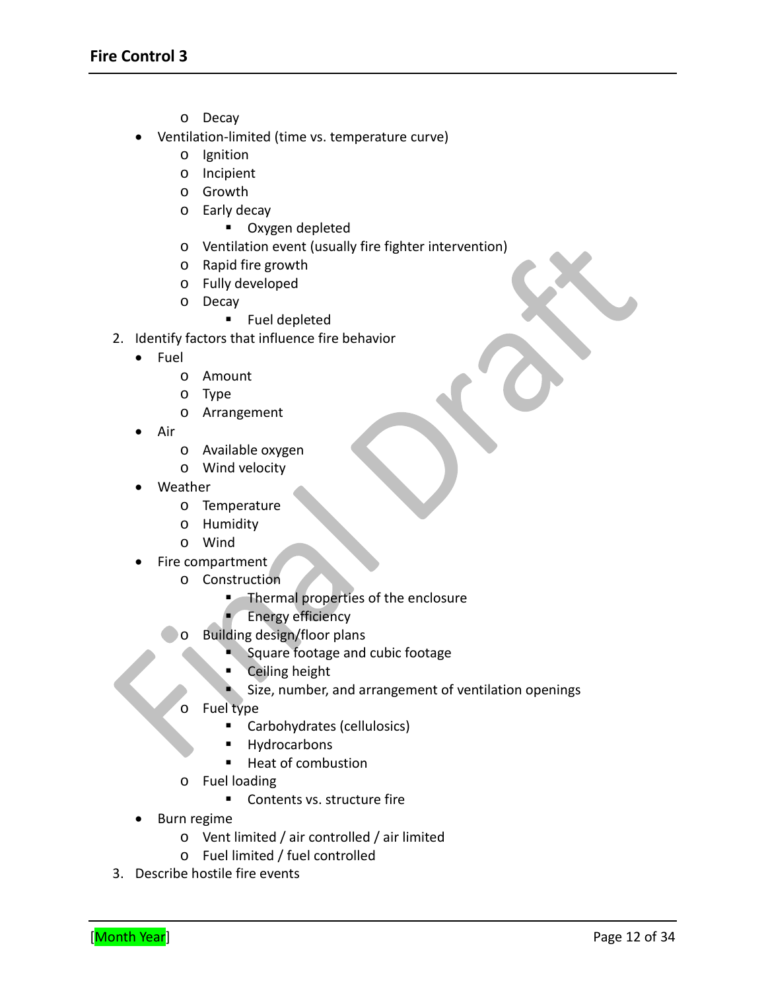- o Decay
- Ventilation-limited (time vs. temperature curve)
	- o Ignition
	- o Incipient
	- o Growth
	- o Early decay
		- **•** Oxygen depleted
	- o Ventilation event (usually fire fighter intervention)
	- o Rapid fire growth
	- o Fully developed
	- o Decay
		- **Fuel depleted**
- 2. Identify factors that influence fire behavior
	- Fuel
		- o Amount
		- o Type
		- o Arrangement
	- Air
		- o Available oxygen
		- o Wind velocity
	- Weather
		- o Temperature
		- o Humidity
		- o Wind
	- Fire compartment
		- o Construction
			- **Thermal properties of the enclosure** 
				- Energy efficiency
		- o Building design/floor plans
			- Square footage and cubic footage
			- **Ceiling height**
			- Size, number, and arrangement of ventilation openings
		- o Fuel type
			- Carbohydrates (cellulosics)
			- **Hydrocarbons**
			- Heat of combustion
		- o Fuel loading
			- Contents vs. structure fire
	- Burn regime
		- o Vent limited / air controlled / air limited
		- o Fuel limited / fuel controlled
- 3. Describe hostile fire events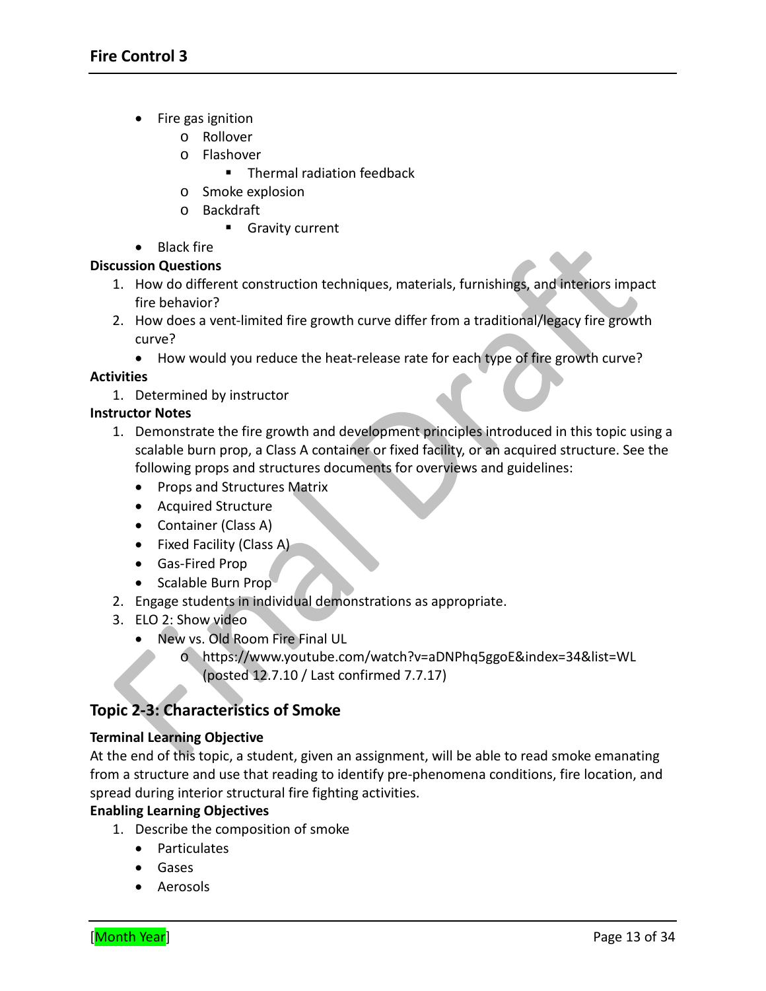- Fire gas ignition
	- o Rollover
	- o Flashover
		- **Thermal radiation feedback**
	- o Smoke explosion
	- o Backdraft
		- **Gravity current**

# • Black fire

### **Discussion Questions**

- 1. How do different construction techniques, materials, furnishings, and interiors impact fire behavior?
- 2. How does a vent-limited fire growth curve differ from a traditional/legacy fire growth curve?
	- How would you reduce the heat-release rate for each type of fire growth curve?

# **Activities**

1. Determined by instructor

# **Instructor Notes**

- 1. Demonstrate the fire growth and development principles introduced in this topic using a scalable burn prop, a Class A container or fixed facility, or an acquired structure. See the following props and structures documents for overviews and guidelines:
	- Props and Structures Matrix
	- Acquired Structure
	- Container (Class A)
	- Fixed Facility (Class A)
	- Gas-Fired Prop
	- Scalable Burn Prop
- 2. Engage students in individual demonstrations as appropriate.
- 3. ELO 2: Show video
	- New vs. Old Room Fire Final UL
		- o <https://www.youtube.com/watch?v=aDNPhq5ggoE&index=34&list=WL> (posted 12.7.10 / Last confirmed 7.7.17)

# **Topic 2-3: Characteristics of Smoke**

### **Terminal Learning Objective**

At the end of this topic, a student, given an assignment, will be able to read smoke emanating from a structure and use that reading to identify pre-phenomena conditions, fire location, and spread during interior structural fire fighting activities.

### **Enabling Learning Objectives**

- 1. Describe the composition of smoke
	- Particulates
	- Gases
	- Aerosols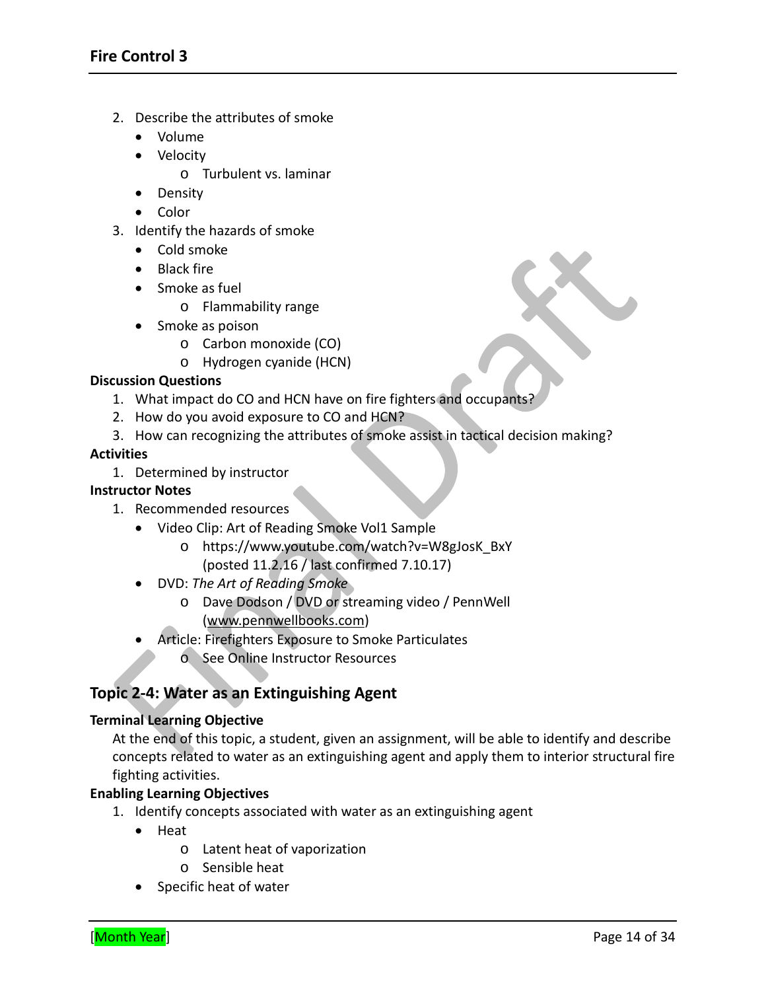- 2. Describe the attributes of smoke
	- Volume
	- Velocity
		- o Turbulent vs. laminar
	- Density
	- Color
- 3. Identify the hazards of smoke
	- Cold smoke
	- Black fire
	- Smoke as fuel
		- o Flammability range
	- Smoke as poison
		- o Carbon monoxide (CO)
		- o Hydrogen cyanide (HCN)

- 1. What impact do CO and HCN have on fire fighters and occupants?
- 2. How do you avoid exposure to CO and HCN?
- 3. How can recognizing the attributes of smoke assist in tactical decision making?

#### **Activities**

1. Determined by instructor

### **Instructor Notes**

- 1. Recommended resources
	- Video Clip: Art of Reading Smoke Vol1 Sample
		- o [https://www.youtube.com/watch?v=W8gJosK\\_BxY](https://www.youtube.com/watch?v=W8gJosK_BxY) (posted 11.2.16 / last confirmed 7.10.17)
	- DVD: *The Art of Reading Smoke*
		- o Dave Dodson / DVD or streaming video / PennWell [\(www.pennwellbooks.com\)](http://www.pennwellbooks.com/)
	- Article: Firefighters Exposure to Smoke Particulates o See Online Instructor Resources

# **Topic 2-4: Water as an Extinguishing Agent**

#### **Terminal Learning Objective**

At the end of this topic, a student, given an assignment, will be able to identify and describe concepts related to water as an extinguishing agent and apply them to interior structural fire fighting activities.

#### **Enabling Learning Objectives**

- 1. Identify concepts associated with water as an extinguishing agent
	- Heat
		- o Latent heat of vaporization
		- o Sensible heat
	- Specific heat of water

 $\bullet$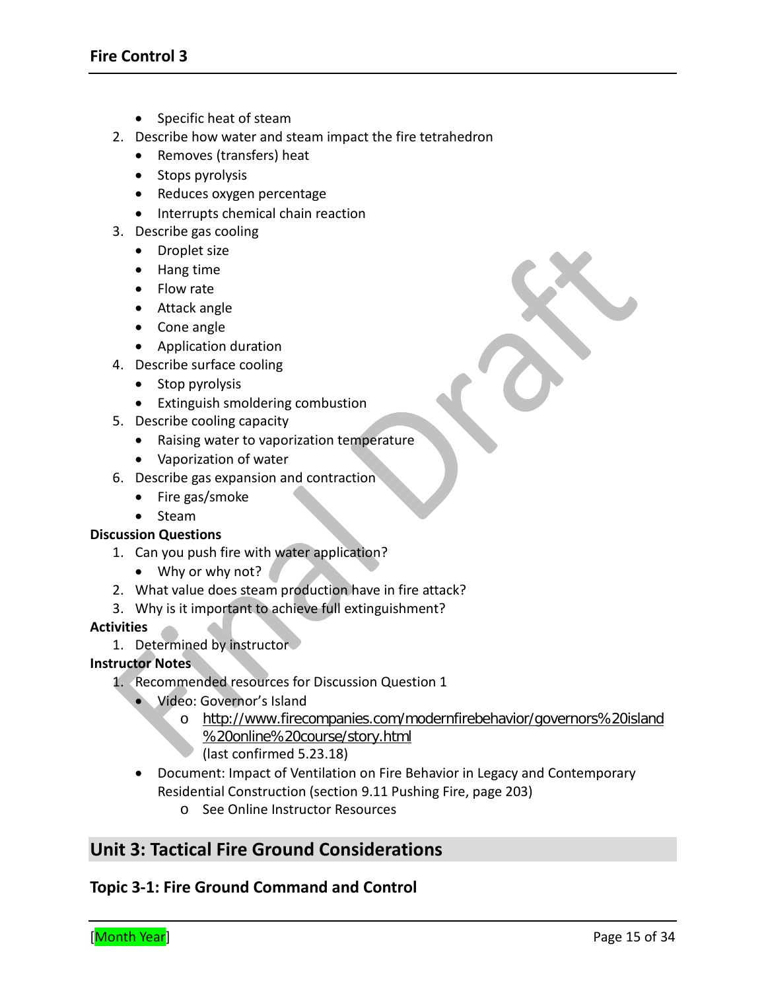- Specific heat of steam
- 2. Describe how water and steam impact the fire tetrahedron
	- Removes (transfers) heat
	- Stops pyrolysis
	- Reduces oxygen percentage
	- Interrupts chemical chain reaction
- 3. Describe gas cooling
	- Droplet size
	- Hang time
	- Flow rate
	- Attack angle
	- Cone angle
	- Application duration
- 4. Describe surface cooling
	- Stop pyrolysis
	- Extinguish smoldering combustion
- 5. Describe cooling capacity
	- Raising water to vaporization temperature
	- Vaporization of water
- 6. Describe gas expansion and contraction
	- Fire gas/smoke
	- Steam

- 1. Can you push fire with water application?
	- Why or why not?
- 2. What value does steam production have in fire attack?
- 3. Why is it important to achieve full extinguishment?

#### **Activities**

1. Determined by instructor

#### **Instructor Notes**

- 1. Recommended resources for Discussion Question 1
	- Video: Governor's Island
		- o [http://www.firecompanies.com/modernfirebehavior/governors%20island](http://www.firecompanies.com/modernfirebehavior/governors%20island%20online%20course/story.html) [%20online%20course/story.html](http://www.firecompanies.com/modernfirebehavior/governors%20island%20online%20course/story.html) (last confirmed 5.23.18)
	- Document: Impact of Ventilation on Fire Behavior in Legacy and Contemporary Residential Construction (section 9.11 Pushing Fire, page 203)
		- o See Online Instructor Resources

# **Unit 3: Tactical Fire Ground Considerations**

### **Topic 3-1: Fire Ground Command and Control**

X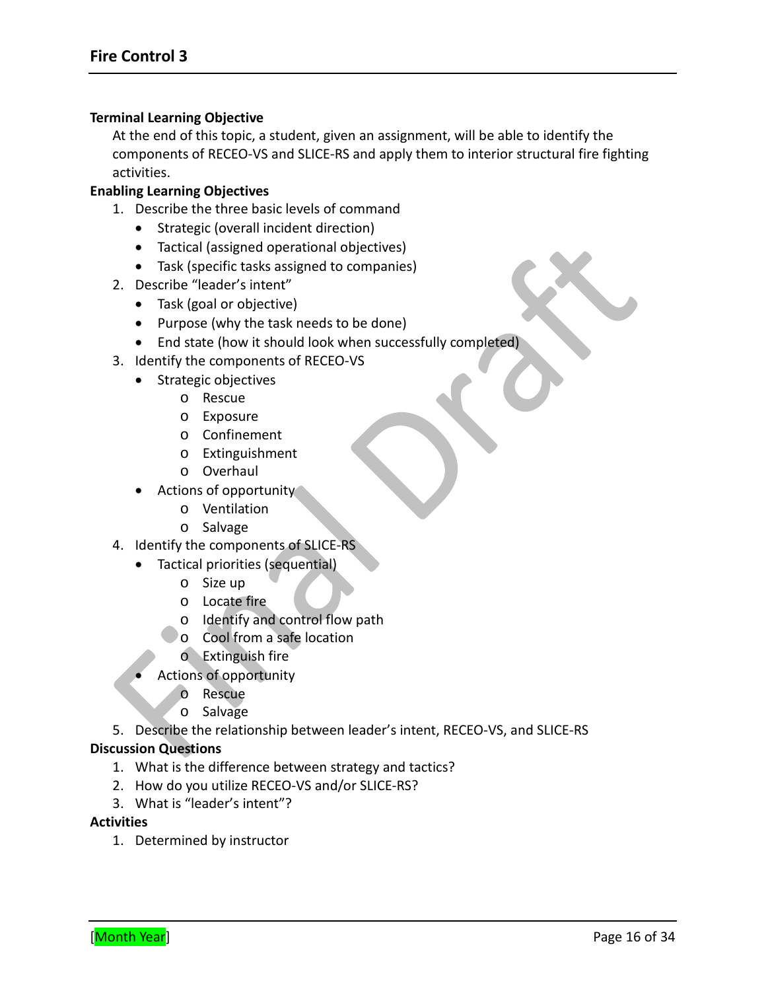#### **Terminal Learning Objective**

At the end of this topic, a student, given an assignment, will be able to identify the components of RECEO-VS and SLICE-RS and apply them to interior structural fire fighting activities.

#### **Enabling Learning Objectives**

- 1. Describe the three basic levels of command
	- Strategic (overall incident direction)
	- Tactical (assigned operational objectives)
	- Task (specific tasks assigned to companies)
- 2. Describe "leader's intent"
	- Task (goal or objective)
	- Purpose (why the task needs to be done)
	- End state (how it should look when successfully completed)
- 3. Identify the components of RECEO-VS
	- Strategic objectives
		- o Rescue
		- o Exposure
		- o Confinement
		- o Extinguishment
		- o Overhaul
	- Actions of opportunity
		- o Ventilation
		- o Salvage
- 4. Identify the components of SLICE-RS
	- Tactical priorities (sequential)
		- o Size up
		- o Locate fire
		- o Identify and control flow path
		- o Cool from a safe location
			- o Extinguish fire
	- Actions of opportunity
		- o Rescue
		- o Salvage

5. Describe the relationship between leader's intent, RECEO-VS, and SLICE-RS

#### **Discussion Questions**

- 1. What is the difference between strategy and tactics?
- 2. How do you utilize RECEO-VS and/or SLICE-RS?
- 3. What is "leader's intent"?

#### **Activities**

1. Determined by instructor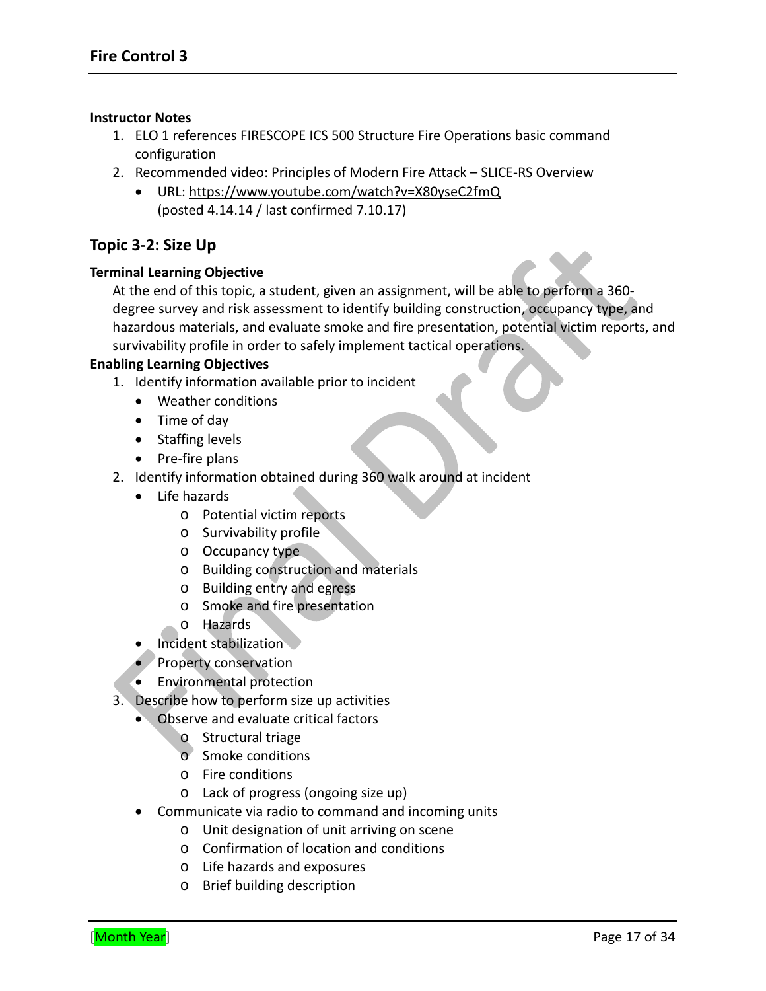#### **Instructor Notes**

- 1. ELO 1 references FIRESCOPE ICS 500 Structure Fire Operations basic command configuration
- 2. Recommended video: Principles of Modern Fire Attack SLICE-RS Overview
	- URL:<https://www.youtube.com/watch?v=X80yseC2fmQ> (posted 4.14.14 / last confirmed 7.10.17)

#### **Topic 3-2: Size Up**

#### **Terminal Learning Objective**

At the end of this topic, a student, given an assignment, will be able to perform a 360 degree survey and risk assessment to identify building construction, occupancy type, and hazardous materials, and evaluate smoke and fire presentation, potential victim reports, and survivability profile in order to safely implement tactical operations.

#### **Enabling Learning Objectives**

- 1. Identify information available prior to incident
	- Weather conditions
	- Time of day
	- Staffing levels
	- Pre-fire plans
- 2. Identify information obtained during 360 walk around at incident
	- Life hazards
		- o Potential victim reports
		- o Survivability profile
		- o Occupancy type
		- o Building construction and materials
		- o Building entry and egress
		- o Smoke and fire presentation
		- o Hazards
	- **Incident stabilization**
	- Property conservation
	- Environmental protection
- 3. Describe how to perform size up activities
	- Observe and evaluate critical factors
		- o Structural triage
		- o Smoke conditions
		- o Fire conditions
		- o Lack of progress (ongoing size up)
	- Communicate via radio to command and incoming units
		- o Unit designation of unit arriving on scene
		- o Confirmation of location and conditions
		- o Life hazards and exposures
		- o Brief building description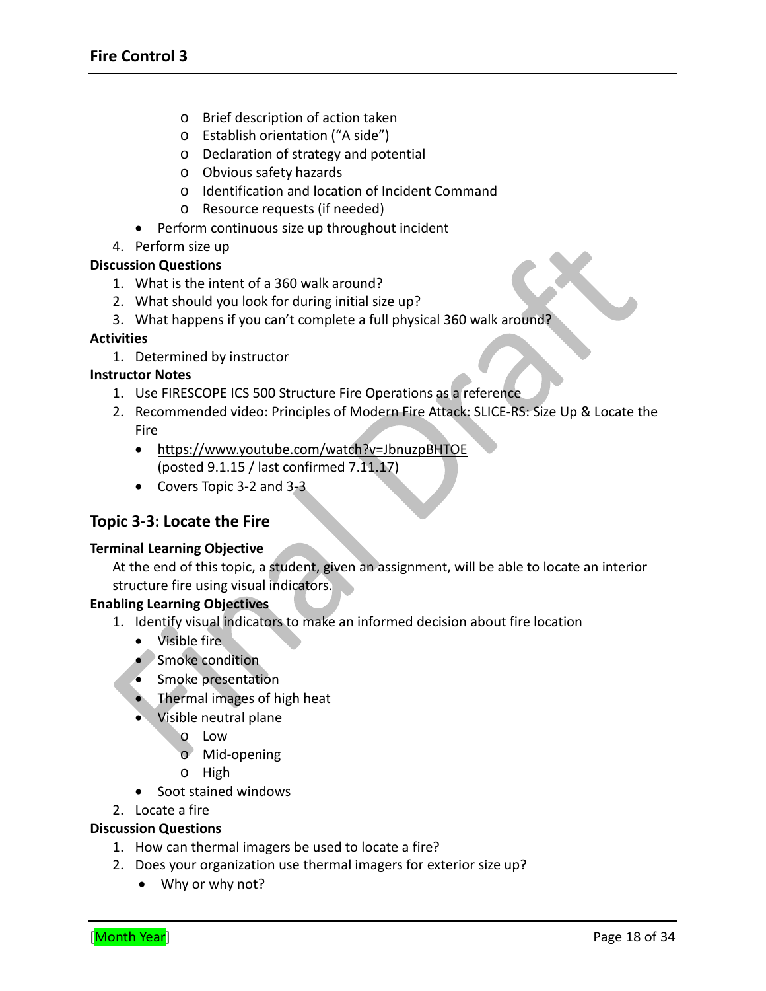- o Brief description of action taken
- o Establish orientation ("A side")
- o Declaration of strategy and potential
- o Obvious safety hazards
- o Identification and location of Incident Command
- o Resource requests (if needed)
- Perform continuous size up throughout incident
- 4. Perform size up

- 1. What is the intent of a 360 walk around?
- 2. What should you look for during initial size up?
- 3. What happens if you can't complete a full physical 360 walk around?

#### **Activities**

1. Determined by instructor

#### **Instructor Notes**

- 1. Use FIRESCOPE ICS 500 Structure Fire Operations as a reference
- 2. Recommended video: Principles of Modern Fire Attack: SLICE-RS: Size Up & Locate the Fire
	- <https://www.youtube.com/watch?v=JbnuzpBHTOE> (posted 9.1.15 / last confirmed 7.11.17)
	- Covers Topic 3-2 and 3-3

### **Topic 3-3: Locate the Fire**

#### **Terminal Learning Objective**

At the end of this topic, a student, given an assignment, will be able to locate an interior structure fire using visual indicators.

#### **Enabling Learning Objectives**

- 1. Identify visual indicators to make an informed decision about fire location
	- Visible fire
	- Smoke condition
	- Smoke presentation
	- Thermal images of high heat
	- Visible neutral plane
		- o Low
		- o Mid-opening
		- o High
	- Soot stained windows
- 2. Locate a fire

#### **Discussion Questions**

- 1. How can thermal imagers be used to locate a fire?
- 2. Does your organization use thermal imagers for exterior size up?
	- Why or why not?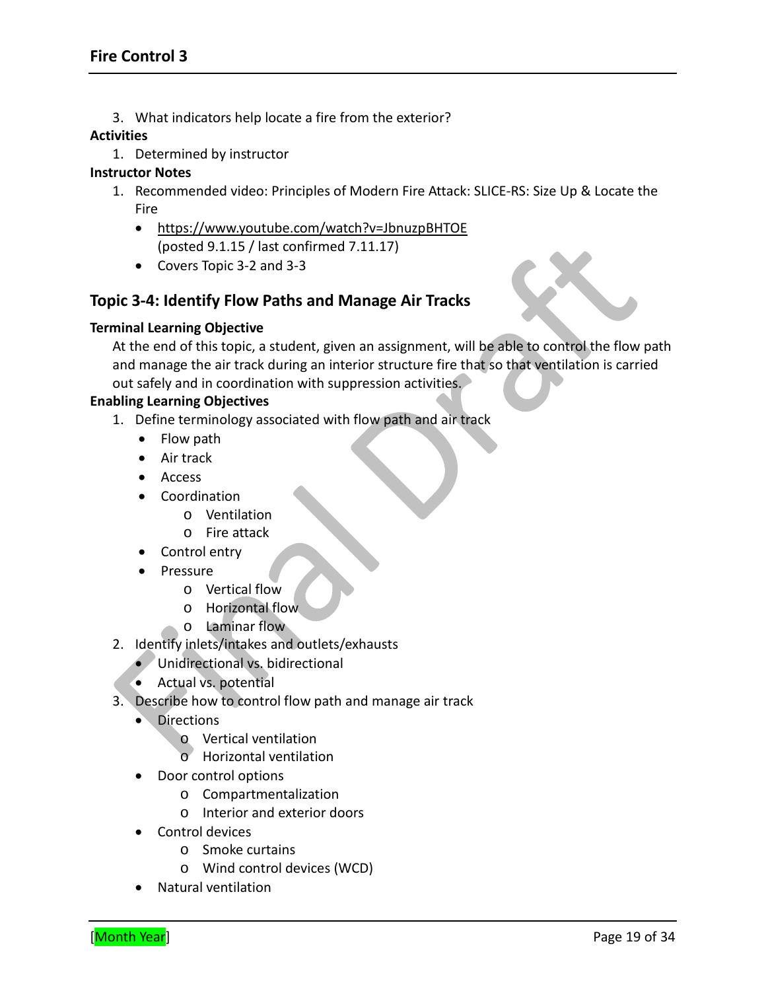3. What indicators help locate a fire from the exterior?

#### **Activities**

1. Determined by instructor

#### **Instructor Notes**

- 1. Recommended video: Principles of Modern Fire Attack: SLICE-RS: Size Up & Locate the Fire
	- <https://www.youtube.com/watch?v=JbnuzpBHTOE> (posted 9.1.15 / last confirmed 7.11.17)
	- Covers Topic 3-2 and 3-3

# **Topic 3-4: Identify Flow Paths and Manage Air Tracks**

#### **Terminal Learning Objective**

At the end of this topic, a student, given an assignment, will be able to control the flow path and manage the air track during an interior structure fire that so that ventilation is carried out safely and in coordination with suppression activities.

#### **Enabling Learning Objectives**

- 1. Define terminology associated with flow path and air track
	- Flow path
	- Air track
	- Access
	- Coordination
		- o Ventilation
		- o Fire attack
	- Control entry
	- Pressure
		- o Vertical flow
		- o Horizontal flow
		- o Laminar flow
- 2. Identify inlets/intakes and outlets/exhausts
	- Unidirectional vs. bidirectional
	- Actual vs. potential
- 3. Describe how to control flow path and manage air track
	- Directions
		- o Vertical ventilation
		- o Horizontal ventilation
	- Door control options
		- o Compartmentalization
		- o Interior and exterior doors
	- Control devices
		- o Smoke curtains
		- o Wind control devices (WCD)
	- Natural ventilation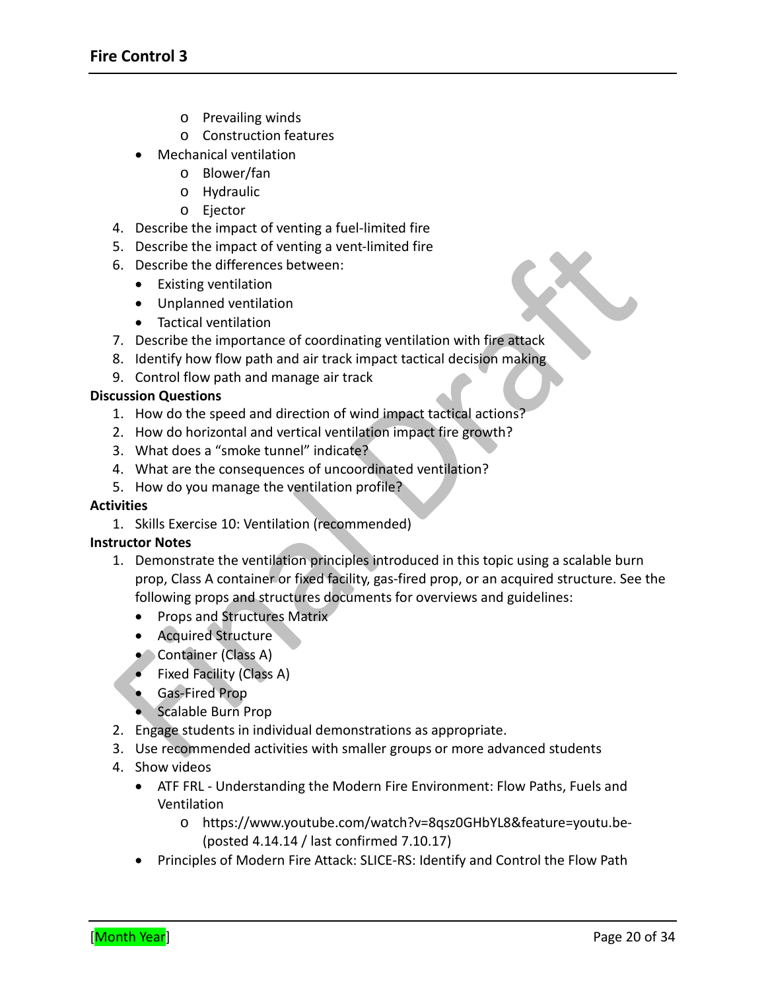- o Prevailing winds
- o Construction features
- Mechanical ventilation
	- o Blower/fan
	- o Hydraulic
	- o Ejector
- 4. Describe the impact of venting a fuel-limited fire
- 5. Describe the impact of venting a vent-limited fire
- 6. Describe the differences between:
	- Existing ventilation
	- Unplanned ventilation
	- Tactical ventilation
- 7. Describe the importance of coordinating ventilation with fire attack
- 8. Identify how flow path and air track impact tactical decision making
- 9. Control flow path and manage air track

- 1. How do the speed and direction of wind impact tactical actions?
- 2. How do horizontal and vertical ventilation impact fire growth?
- 3. What does a "smoke tunnel" indicate?
- 4. What are the consequences of uncoordinated ventilation?
- 5. How do you manage the ventilation profile?

#### **Activities**

1. Skills Exercise 10: Ventilation (recommended)

#### **Instructor Notes**

- 1. Demonstrate the ventilation principles introduced in this topic using a scalable burn prop, Class A container or fixed facility, gas-fired prop, or an acquired structure. See the following props and structures documents for overviews and guidelines:
	- Props and Structures Matrix
	- Acquired Structure
	- Container (Class A)
	- Fixed Facility (Class A)
	- Gas-Fired Prop
	- Scalable Burn Prop
- 2. Engage students in individual demonstrations as appropriate.
- 3. Use recommended activities with smaller groups or more advanced students
- 4. Show videos
	- ATF FRL Understanding the Modern Fire Environment: Flow Paths, Fuels and Ventilation
		- o <https://www.youtube.com/watch?v=8qsz0GHbYL8&feature=youtu.be-> (posted 4.14.14 / last confirmed 7.10.17)
	- Principles of Modern Fire Attack: SLICE-RS: Identify and Control the Flow Path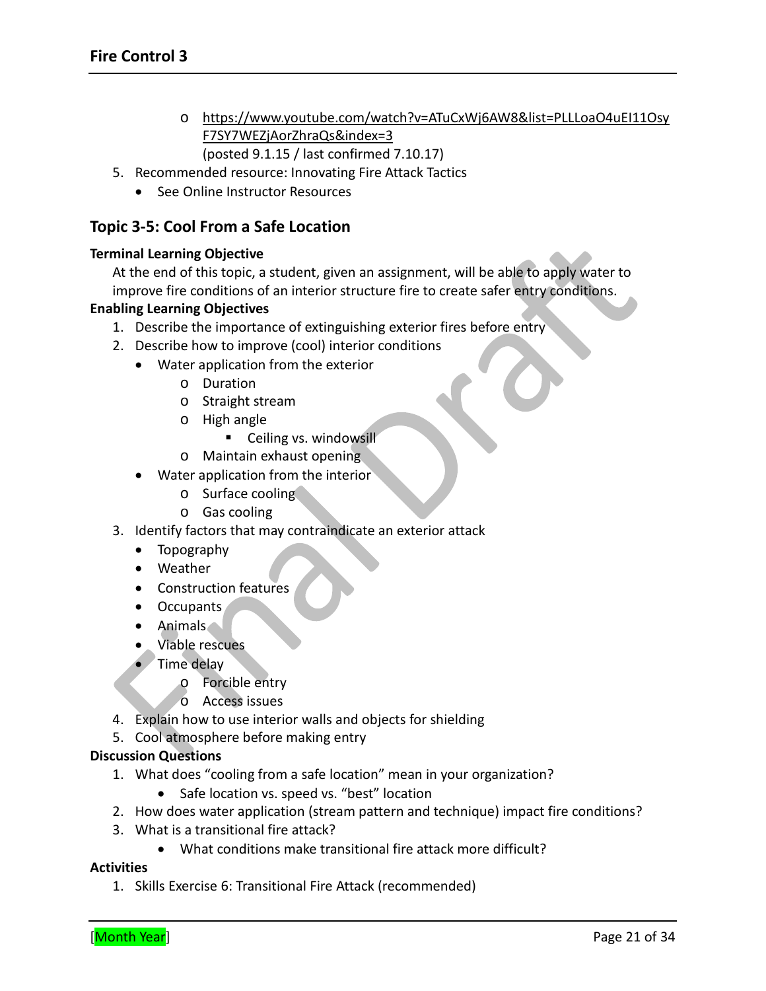- o [https://www.youtube.com/watch?v=ATuCxWj6AW8&list=PLLLoaO4uEI11Osy](https://www.youtube.com/watch?v=ATuCxWj6AW8&list=PLLLoaO4uEI11OsyF7SY7WEZjAorZhraQs&index=3) [F7SY7WEZjAorZhraQs&index=3](https://www.youtube.com/watch?v=ATuCxWj6AW8&list=PLLLoaO4uEI11OsyF7SY7WEZjAorZhraQs&index=3) (posted 9.1.15 / last confirmed 7.10.17)
- 5. Recommended resource: Innovating Fire Attack Tactics
	- See Online Instructor Resources

### **Topic 3-5: Cool From a Safe Location**

#### **Terminal Learning Objective**

At the end of this topic, a student, given an assignment, will be able to apply water to improve fire conditions of an interior structure fire to create safer entry conditions.

#### **Enabling Learning Objectives**

- 1. Describe the importance of extinguishing exterior fires before entry
- 2. Describe how to improve (cool) interior conditions
	- Water application from the exterior
		- o Duration
		- o Straight stream
		- o High angle
			- **Ceiling vs. windowsill**
		- o Maintain exhaust opening
	- Water application from the interior
		- o Surface cooling
		- o Gas cooling
- 3. Identify factors that may contraindicate an exterior attack
	- Topography
	- Weather
	- Construction features
	- Occupants
	- Animals
	- Viable rescues
	- Time delay
		- o Forcible entry
		- o Access issues
- 4. Explain how to use interior walls and objects for shielding
- 5. Cool atmosphere before making entry

#### **Discussion Questions**

- 1. What does "cooling from a safe location" mean in your organization?
	- Safe location vs. speed vs. "best" location
- 2. How does water application (stream pattern and technique) impact fire conditions?
- 3. What is a transitional fire attack?
	- What conditions make transitional fire attack more difficult?

#### **Activities**

1. Skills Exercise 6: Transitional Fire Attack (recommended)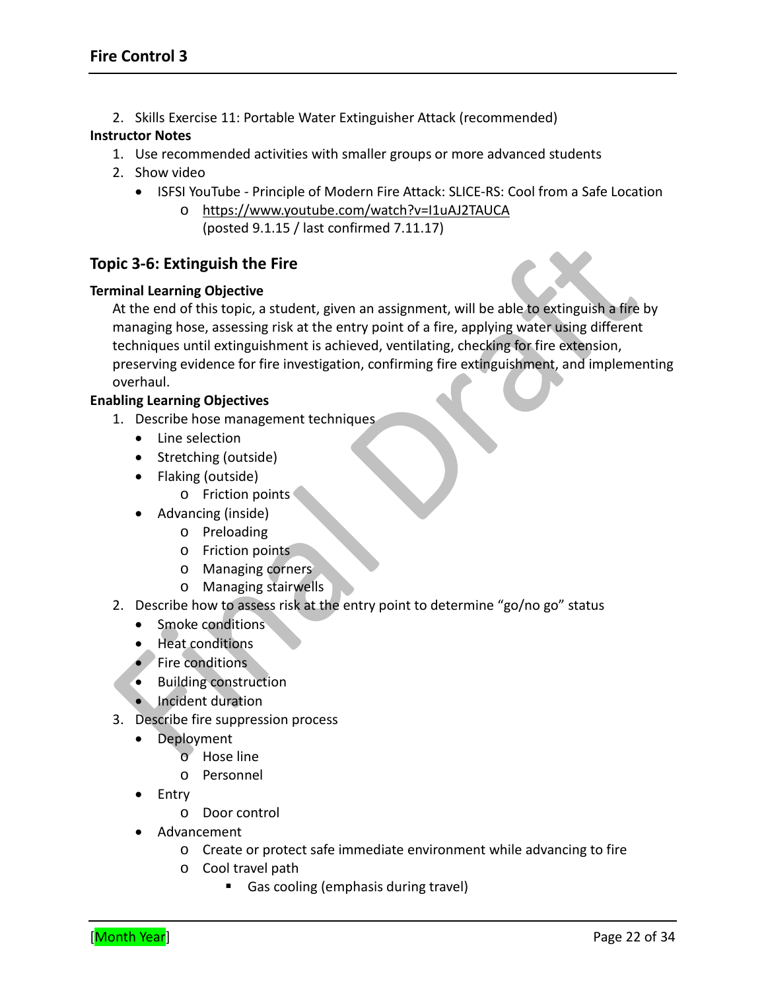2. Skills Exercise 11: Portable Water Extinguisher Attack (recommended)

#### **Instructor Notes**

- 1. Use recommended activities with smaller groups or more advanced students
- 2. Show video
	- ISFSI YouTube Principle of Modern Fire Attack: SLICE-RS: Cool from a Safe Location
		- o <https://www.youtube.com/watch?v=I1uAJ2TAUCA> (posted 9.1.15 / last confirmed 7.11.17)

# **Topic 3-6: Extinguish the Fire**

#### **Terminal Learning Objective**

At the end of this topic, a student, given an assignment, will be able to extinguish a fire by managing hose, assessing risk at the entry point of a fire, applying water using different techniques until extinguishment is achieved, ventilating, checking for fire extension, preserving evidence for fire investigation, confirming fire extinguishment, and implementing overhaul.

#### **Enabling Learning Objectives**

- 1. Describe hose management techniques
	- Line selection
	- Stretching (outside)
	- Flaking (outside)
		- o Friction points
	- Advancing (inside)
		- o Preloading
		- o Friction points
		- o Managing corners
		- o Managing stairwells
- 2. Describe how to assess risk at the entry point to determine "go/no go" status
	- Smoke conditions
	- Heat conditions
	- Fire conditions
	- Building construction
	- Incident duration
- 3. Describe fire suppression process
	- Deployment
		- o Hose line
		- o Personnel
	- Entry
		- o Door control
	- Advancement
		- o Create or protect safe immediate environment while advancing to fire
		- o Cool travel path
			- Gas cooling (emphasis during travel)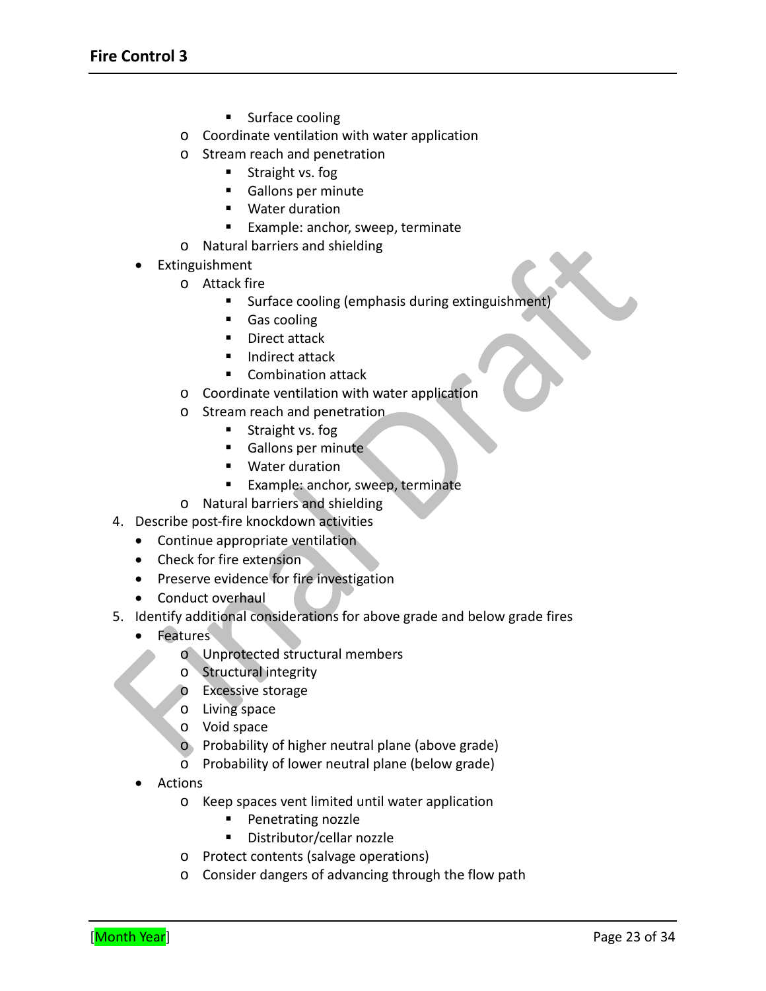- **Surface cooling**
- o Coordinate ventilation with water application
- o Stream reach and penetration
	- **Straight vs. fog**
	- Gallons per minute
	- **Water duration**
	- **Example: anchor, sweep, terminate**
- o Natural barriers and shielding
- Extinguishment
	- o Attack fire
		- Surface cooling (emphasis during extinguishment)
		- Gas cooling
		- Direct attack
		- **Indirect attack**
		- Combination attack
	- o Coordinate ventilation with water application
	- o Stream reach and penetration
		- Straight vs. fog
		- Gallons per minute
		- Water duration
		- **Example: anchor, sweep, terminate**
	- o Natural barriers and shielding
- 4. Describe post-fire knockdown activities
	- Continue appropriate ventilation
	- Check for fire extension
	- Preserve evidence for fire investigation
	- Conduct overhaul
- 5. Identify additional considerations for above grade and below grade fires
	- Features
		- o Unprotected structural members
		- o Structural integrity
		- o Excessive storage
		- o Living space
		- o Void space
		- o Probability of higher neutral plane (above grade)
		- o Probability of lower neutral plane (below grade)
		- Actions
			- o Keep spaces vent limited until water application
				- **Penetrating nozzle**
				- Distributor/cellar nozzle
			- o Protect contents (salvage operations)
			- o Consider dangers of advancing through the flow path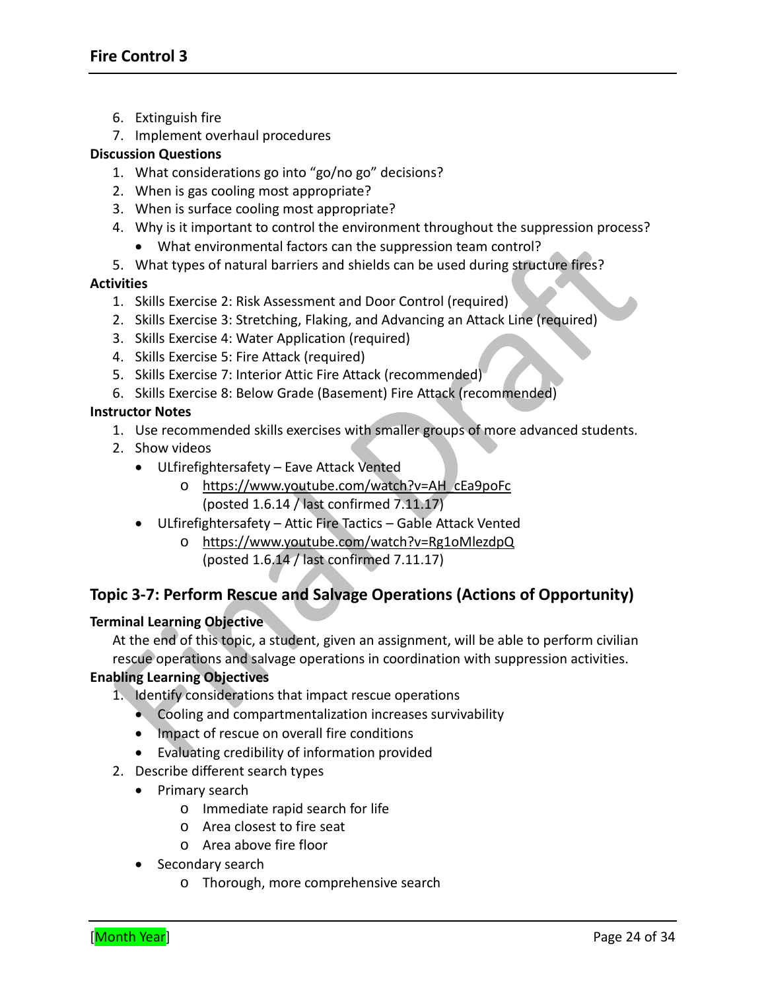- 6. Extinguish fire
- 7. Implement overhaul procedures

- 1. What considerations go into "go/no go" decisions?
- 2. When is gas cooling most appropriate?
- 3. When is surface cooling most appropriate?
- 4. Why is it important to control the environment throughout the suppression process?
	- What environmental factors can the suppression team control?
- 5. What types of natural barriers and shields can be used during structure fires?

#### **Activities**

- 1. Skills Exercise 2: Risk Assessment and Door Control (required)
- 2. Skills Exercise 3: Stretching, Flaking, and Advancing an Attack Line (required)
- 3. Skills Exercise 4: Water Application (required)
- 4. Skills Exercise 5: Fire Attack (required)
- 5. Skills Exercise 7: Interior Attic Fire Attack (recommended)
- 6. Skills Exercise 8: Below Grade (Basement) Fire Attack (recommended)

#### **Instructor Notes**

- 1. Use recommended skills exercises with smaller groups of more advanced students.
- 2. Show videos
	- ULfirefightersafety Eave Attack Vented
		- o [https://www.youtube.com/watch?v=AH\\_cEa9poFc](https://www.youtube.com/watch?v=AH_cEa9poFc) (posted 1.6.14 / last confirmed 7.11.17)
	- ULfirefightersafety Attic Fire Tactics Gable Attack Vented
		- o <https://www.youtube.com/watch?v=Rg1oMlezdpQ> (posted 1.6.14 / last confirmed 7.11.17)

### **Topic 3-7: Perform Rescue and Salvage Operations (Actions of Opportunity)**

#### **Terminal Learning Objective**

At the end of this topic, a student, given an assignment, will be able to perform civilian rescue operations and salvage operations in coordination with suppression activities.

#### **Enabling Learning Objectives**

- 1. Identify considerations that impact rescue operations
	- Cooling and compartmentalization increases survivability
	- Impact of rescue on overall fire conditions
	- Evaluating credibility of information provided
- 2. Describe different search types
	- Primary search
		- o Immediate rapid search for life
		- o Area closest to fire seat
		- o Area above fire floor
	- Secondary search
		- o Thorough, more comprehensive search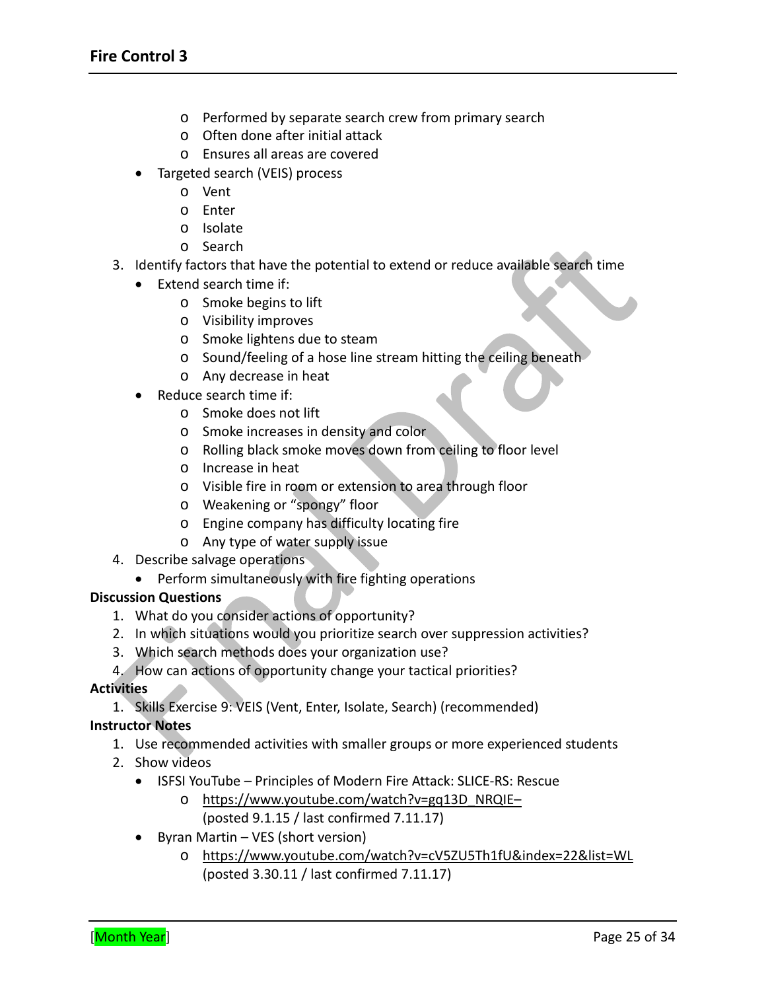- o Performed by separate search crew from primary search
- o Often done after initial attack
- o Ensures all areas are covered
- Targeted search (VEIS) process
	- o Vent
	- o Enter
	- o Isolate
	- o Search
- 3. Identify factors that have the potential to extend or reduce available search time
	- Extend search time if:
		- o Smoke begins to lift
		- o Visibility improves
		- o Smoke lightens due to steam
		- o Sound/feeling of a hose line stream hitting the ceiling beneath
		- o Any decrease in heat
	- Reduce search time if:
		- o Smoke does not lift
		- o Smoke increases in density and color
		- o Rolling black smoke moves down from ceiling to floor level
		- o Increase in heat
		- o Visible fire in room or extension to area through floor
		- o Weakening or "spongy" floor
		- o Engine company has difficulty locating fire
		- o Any type of water supply issue
- 4. Describe salvage operations
	- Perform simultaneously with fire fighting operations

- 1. What do you consider actions of opportunity?
- 2. In which situations would you prioritize search over suppression activities?
- 3. Which search methods does your organization use?
- 4. How can actions of opportunity change your tactical priorities?

#### **Activities**

1. Skills Exercise 9: VEIS (Vent, Enter, Isolate, Search) (recommended)

#### **Instructor Notes**

- 1. Use recommended activities with smaller groups or more experienced students
- 2. Show videos
	- ISFSI YouTube Principles of Modern Fire Attack: SLICE-RS: Rescue
		- o [https://www.youtube.com/watch?v=gq13D\\_NRQIE–](https://www.youtube.com/watch?v=gq13D_NRQIE%E2%80%93) (posted 9.1.15 / last confirmed 7.11.17)
	- Byran Martin VES (short version)
		- o <https://www.youtube.com/watch?v=cV5ZU5Th1fU&index=22&list=WL> (posted 3.30.11 / last confirmed 7.11.17)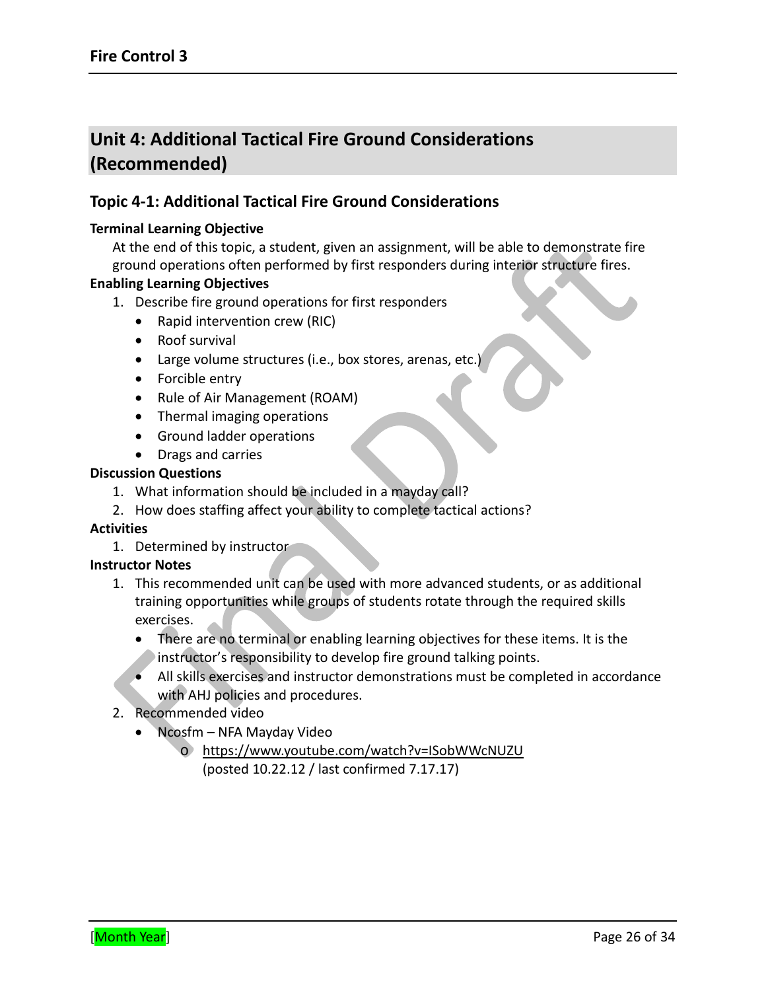# **Unit 4: Additional Tactical Fire Ground Considerations (Recommended)**

# **Topic 4-1: Additional Tactical Fire Ground Considerations**

#### **Terminal Learning Objective**

At the end of this topic, a student, given an assignment, will be able to demonstrate fire ground operations often performed by first responders during interior structure fires.

#### **Enabling Learning Objectives**

- 1. Describe fire ground operations for first responders
	- Rapid intervention crew (RIC)
	- Roof survival
	- Large volume structures (i.e., box stores, arenas, etc.)
	- Forcible entry
	- Rule of Air Management (ROAM)
	- Thermal imaging operations
	- Ground ladder operations
	- Drags and carries

#### **Discussion Questions**

- 1. What information should be included in a mayday call?
- 2. How does staffing affect your ability to complete tactical actions?

#### **Activities**

1. Determined by instructor

#### **Instructor Notes**

- 1. This recommended unit can be used with more advanced students, or as additional training opportunities while groups of students rotate through the required skills exercises.
	- There are no terminal or enabling learning objectives for these items. It is the instructor's responsibility to develop fire ground talking points.
	- All skills exercises and instructor demonstrations must be completed in accordance with AHJ policies and procedures.
- 2. Recommended video
	- Ncosfm NFA Mayday Video
		- o <https://www.youtube.com/watch?v=ISobWWcNUZU> (posted 10.22.12 / last confirmed 7.17.17)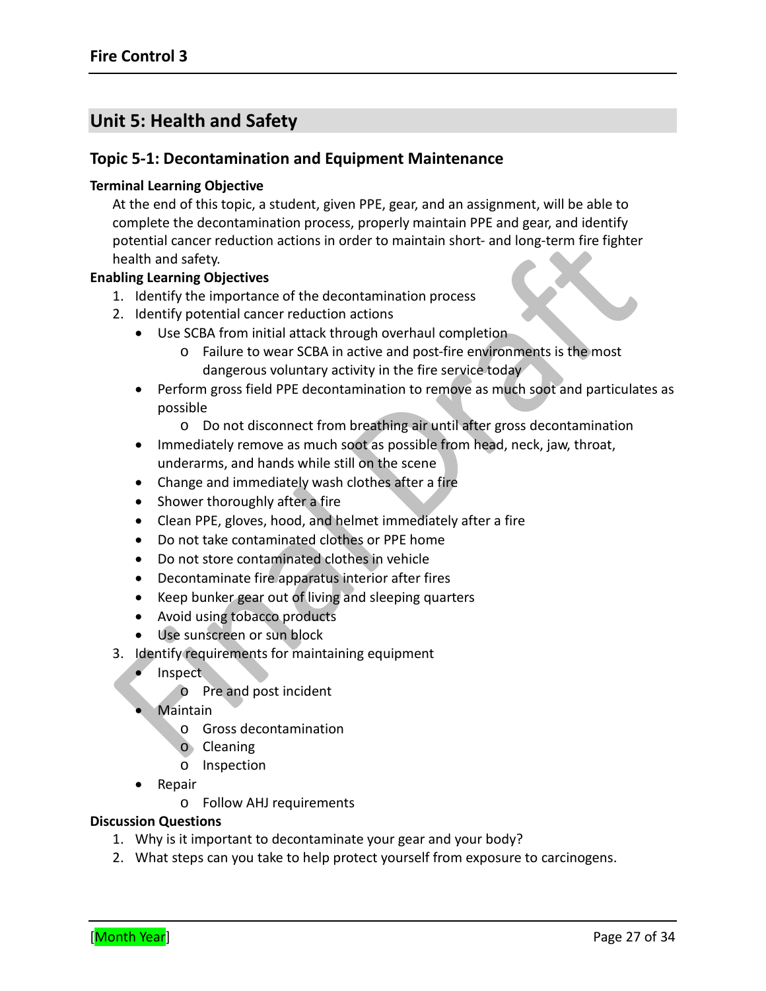# **Unit 5: Health and Safety**

#### **Topic 5-1: Decontamination and Equipment Maintenance**

#### **Terminal Learning Objective**

At the end of this topic, a student, given PPE, gear, and an assignment, will be able to complete the decontamination process, properly maintain PPE and gear, and identify potential cancer reduction actions in order to maintain short- and long-term fire fighter health and safety.

#### **Enabling Learning Objectives**

- 1. Identify the importance of the decontamination process
- 2. Identify potential cancer reduction actions
	- Use SCBA from initial attack through overhaul completion
		- o Failure to wear SCBA in active and post-fire environments is the most dangerous voluntary activity in the fire service today
	- Perform gross field PPE decontamination to remove as much soot and particulates as possible
		- o Do not disconnect from breathing air until after gross decontamination
	- Immediately remove as much soot as possible from head, neck, jaw, throat, underarms, and hands while still on the scene
	- Change and immediately wash clothes after a fire
	- Shower thoroughly after a fire
	- Clean PPE, gloves, hood, and helmet immediately after a fire
	- Do not take contaminated clothes or PPE home
	- Do not store contaminated clothes in vehicle
	- Decontaminate fire apparatus interior after fires
	- Keep bunker gear out of living and sleeping quarters
	- Avoid using tobacco products
	- Use sunscreen or sun block
- 3. Identify requirements for maintaining equipment
	- Inspect
		- o Pre and post incident
	- Maintain
		- o Gross decontamination
		- o Cleaning
		- o Inspection
	- Repair
		- o Follow AHJ requirements

#### **Discussion Questions**

- 1. Why is it important to decontaminate your gear and your body?
- 2. What steps can you take to help protect yourself from exposure to carcinogens.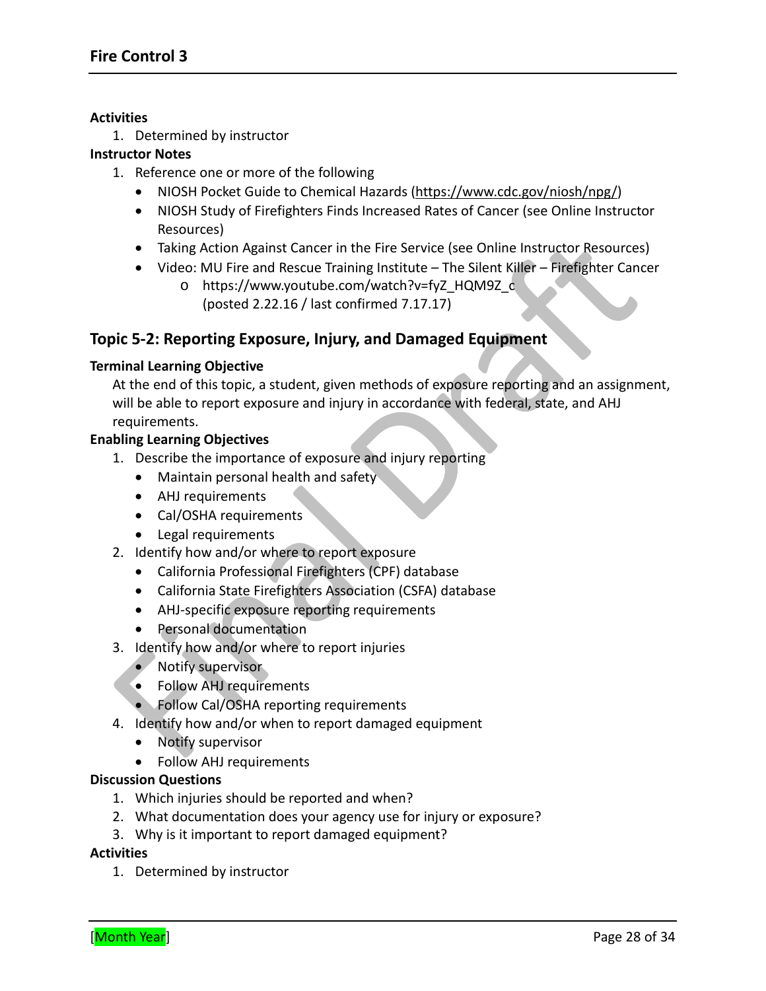#### **Activities**

1. Determined by instructor

#### **Instructor Notes**

- 1. Reference one or more of the following
	- NIOSH Pocket Guide to Chemical Hazards [\(https://www.cdc.gov/niosh/npg/\)](https://www.cdc.gov/niosh/npg/)
	- NIOSH Study of Firefighters Finds Increased Rates of Cancer (see Online Instructor Resources)
	- Taking Action Against Cancer in the Fire Service (see Online Instructor Resources)
	- Video: MU Fire and Rescue Training Institute The Silent Killer Firefighter Cancer
		- o [https://www.youtube.com/watch?v=fyZ\\_HQM9Z\\_c](https://www.youtube.com/watch?v=fyZ_HQM9Z_c) (posted 2.22.16 / last confirmed 7.17.17)

# **Topic 5-2: Reporting Exposure, Injury, and Damaged Equipment**

#### **Terminal Learning Objective**

At the end of this topic, a student, given methods of exposure reporting and an assignment, will be able to report exposure and injury in accordance with federal, state, and AHJ requirements.

#### **Enabling Learning Objectives**

- 1. Describe the importance of exposure and injury reporting
	- Maintain personal health and safety
	- AHJ requirements
	- Cal/OSHA requirements
	- Legal requirements
- 2. Identify how and/or where to report exposure
	- California Professional Firefighters (CPF) database
	- California State Firefighters Association (CSFA) database
	- AHJ-specific exposure reporting requirements
	- Personal documentation
- 3. Identify how and/or where to report injuries
	- Notify supervisor
	- Follow AHJ requirements
	- Follow Cal/OSHA reporting requirements
- 4. Identify how and/or when to report damaged equipment
	- Notify supervisor
	- Follow AHJ requirements

#### **Discussion Questions**

- 1. Which injuries should be reported and when?
- 2. What documentation does your agency use for injury or exposure?
- 3. Why is it important to report damaged equipment?

#### **Activities**

1. Determined by instructor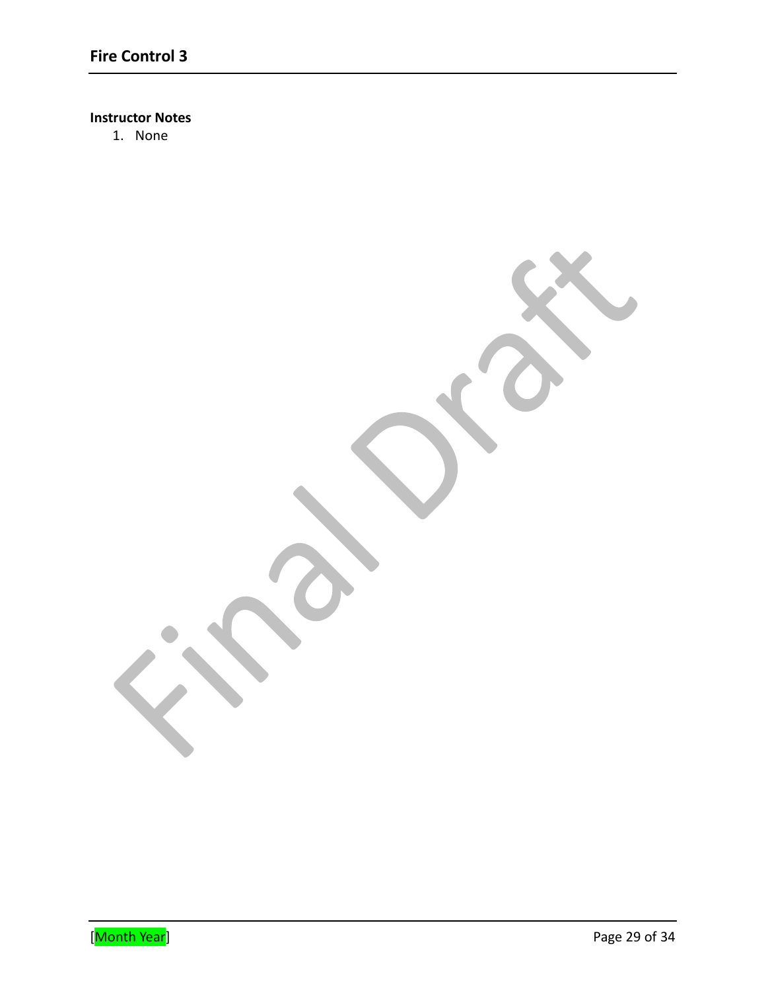### **Instructor Notes**

1. None

Extending the United States of the United States of the Page 29 of 34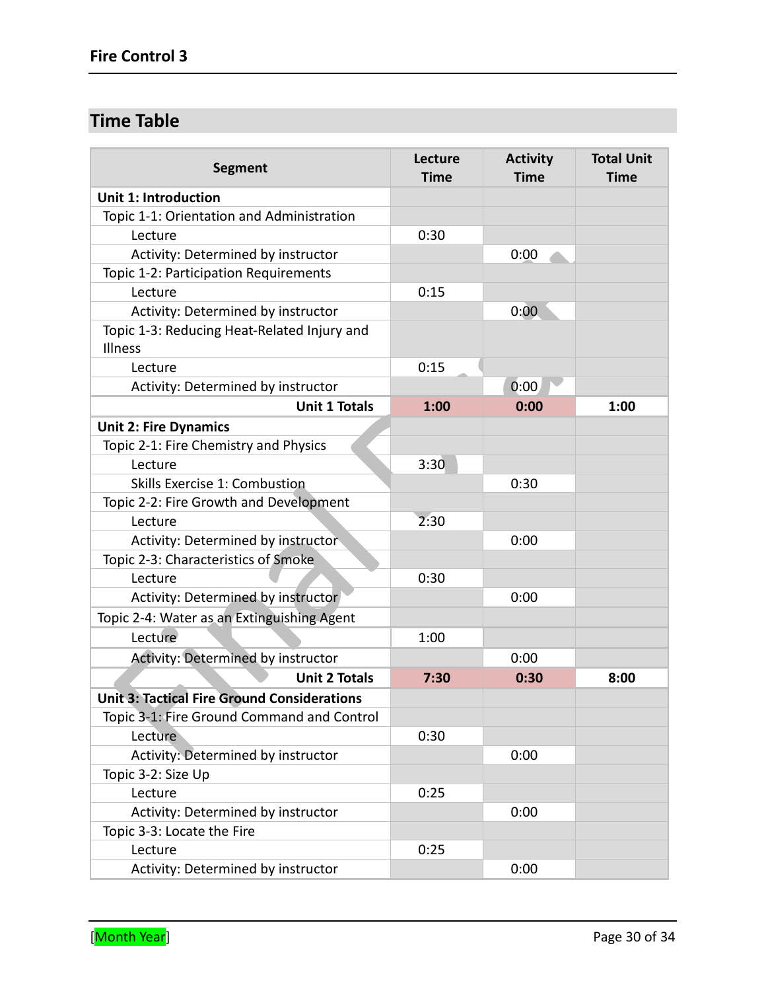# **Time Table**

| <b>Segment</b>                                         | Lecture<br><b>Time</b> | <b>Activity</b><br><b>Time</b> | <b>Total Unit</b><br><b>Time</b> |
|--------------------------------------------------------|------------------------|--------------------------------|----------------------------------|
| <b>Unit 1: Introduction</b>                            |                        |                                |                                  |
| Topic 1-1: Orientation and Administration              |                        |                                |                                  |
| Lecture                                                | 0:30                   |                                |                                  |
| Activity: Determined by instructor                     |                        | 0:00                           |                                  |
| Topic 1-2: Participation Requirements                  |                        |                                |                                  |
| Lecture                                                | 0:15                   |                                |                                  |
| Activity: Determined by instructor                     |                        | 0:00                           |                                  |
| Topic 1-3: Reducing Heat-Related Injury and<br>Illness |                        |                                |                                  |
| Lecture                                                | 0:15                   |                                |                                  |
| Activity: Determined by instructor                     |                        | 0:00                           |                                  |
| <b>Unit 1 Totals</b>                                   | 1:00                   | 0:00                           | 1:00                             |
| <b>Unit 2: Fire Dynamics</b>                           |                        |                                |                                  |
| Topic 2-1: Fire Chemistry and Physics                  |                        |                                |                                  |
| Lecture                                                | 3:30                   |                                |                                  |
| Skills Exercise 1: Combustion                          |                        | 0:30                           |                                  |
| Topic 2-2: Fire Growth and Development                 |                        |                                |                                  |
| Lecture                                                | 2:30                   |                                |                                  |
| Activity: Determined by instructor                     |                        | 0:00                           |                                  |
| Topic 2-3: Characteristics of Smoke                    |                        |                                |                                  |
| Lecture                                                | 0:30                   |                                |                                  |
| Activity: Determined by instructor                     |                        | 0:00                           |                                  |
| Topic 2-4: Water as an Extinguishing Agent             |                        |                                |                                  |
| Lecture                                                | 1:00                   |                                |                                  |
| Activity: Determined by instructor                     |                        | 0:00                           |                                  |
| <b>Unit 2 Totals</b>                                   | 7:30                   | 0:30                           | 8:00                             |
| <b>Unit 3: Tactical Fire Ground Considerations</b>     |                        |                                |                                  |
| Topic 3-1: Fire Ground Command and Control             |                        |                                |                                  |
| Lecture                                                | 0:30                   |                                |                                  |
| Activity: Determined by instructor                     |                        | 0:00                           |                                  |
| Topic 3-2: Size Up                                     |                        |                                |                                  |
| Lecture                                                | 0:25                   |                                |                                  |
| Activity: Determined by instructor                     |                        | 0:00                           |                                  |
| Topic 3-3: Locate the Fire                             |                        |                                |                                  |
| Lecture                                                | 0:25                   |                                |                                  |
| Activity: Determined by instructor                     |                        | 0:00                           |                                  |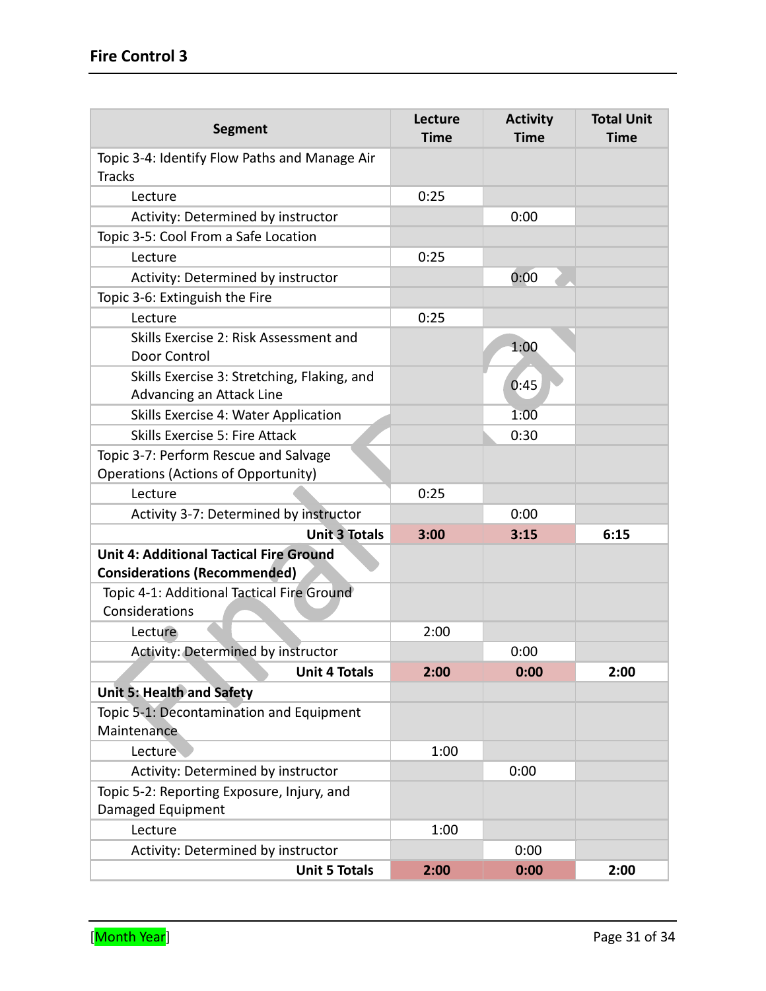| <b>Segment</b>                                                                        | Lecture<br><b>Time</b> | <b>Activity</b><br><b>Time</b> | <b>Total Unit</b><br><b>Time</b> |
|---------------------------------------------------------------------------------------|------------------------|--------------------------------|----------------------------------|
| Topic 3-4: Identify Flow Paths and Manage Air<br><b>Tracks</b>                        |                        |                                |                                  |
| Lecture                                                                               | 0:25                   |                                |                                  |
| Activity: Determined by instructor                                                    |                        | 0:00                           |                                  |
| Topic 3-5: Cool From a Safe Location                                                  |                        |                                |                                  |
| Lecture                                                                               | 0:25                   |                                |                                  |
| Activity: Determined by instructor                                                    |                        | 0:00                           |                                  |
| Topic 3-6: Extinguish the Fire                                                        |                        |                                |                                  |
| Lecture                                                                               | 0:25                   |                                |                                  |
| Skills Exercise 2: Risk Assessment and<br>Door Control                                |                        | 1:00                           |                                  |
| Skills Exercise 3: Stretching, Flaking, and<br>Advancing an Attack Line               |                        | 0:45                           |                                  |
| Skills Exercise 4: Water Application                                                  |                        | 1:00                           |                                  |
| Skills Exercise 5: Fire Attack                                                        |                        | 0:30                           |                                  |
| Topic 3-7: Perform Rescue and Salvage<br><b>Operations (Actions of Opportunity)</b>   |                        |                                |                                  |
| Lecture                                                                               | 0:25                   |                                |                                  |
| Activity 3-7: Determined by instructor                                                |                        | 0:00                           |                                  |
| <b>Unit 3 Totals</b>                                                                  | 3:00                   | 3:15                           | 6:15                             |
| <b>Unit 4: Additional Tactical Fire Ground</b><br><b>Considerations (Recommended)</b> |                        |                                |                                  |
| Topic 4-1: Additional Tactical Fire Ground<br>Considerations                          |                        |                                |                                  |
| Lecture                                                                               | 2:00                   |                                |                                  |
| Activity: Determined by instructor                                                    |                        | 0:00                           |                                  |
| <b>Unit 4 Totals</b>                                                                  | 2:00                   | 0:00                           | 2:00                             |
| Unit 5: Health and Safety                                                             |                        |                                |                                  |
| Topic 5-1: Decontamination and Equipment<br>Maintenance                               |                        |                                |                                  |
| Lecture                                                                               | 1:00                   |                                |                                  |
| Activity: Determined by instructor                                                    |                        | 0:00                           |                                  |
| Topic 5-2: Reporting Exposure, Injury, and                                            |                        |                                |                                  |
| Damaged Equipment                                                                     |                        |                                |                                  |
| Lecture                                                                               | 1:00                   |                                |                                  |
| Activity: Determined by instructor                                                    |                        | 0:00                           |                                  |
| <b>Unit 5 Totals</b>                                                                  | 2:00                   | 0:00                           | 2:00                             |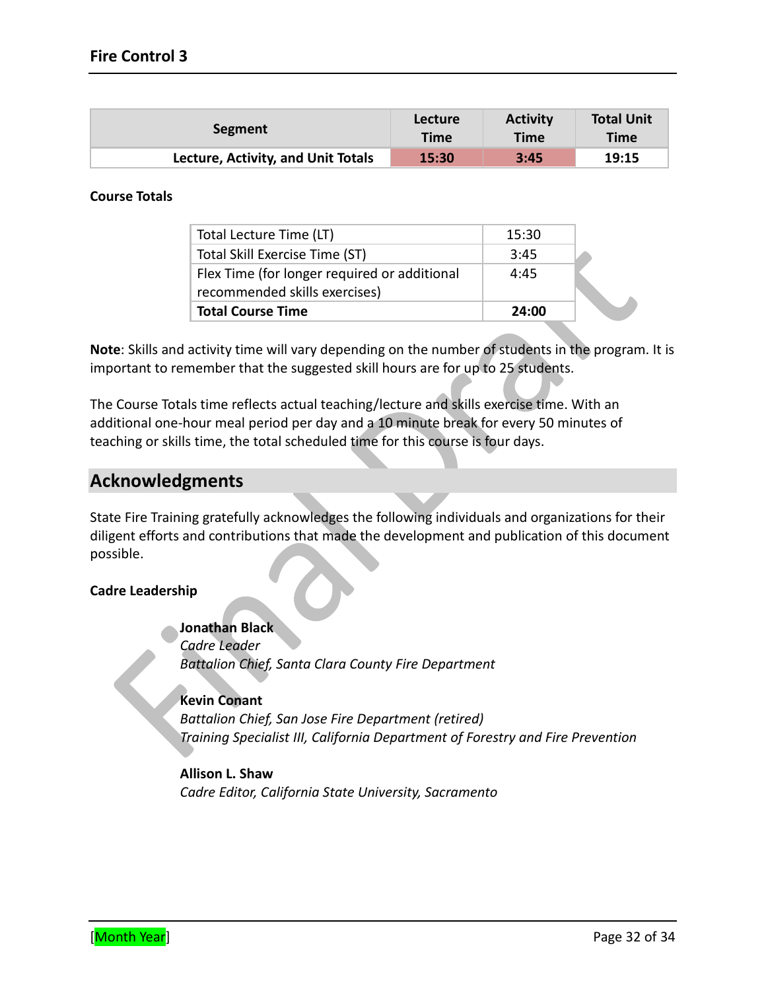| Segment                                   | Lecture     | <b>Activity</b> | <b>Total Unit</b> |
|-------------------------------------------|-------------|-----------------|-------------------|
|                                           | <b>Time</b> | <b>Time</b>     | <b>Time</b>       |
| <b>Lecture, Activity, and Unit Totals</b> | 15:30       | 3:45            | 19:15             |

#### **Course Totals**

| Total Lecture Time (LT)                      | 15:30 |  |
|----------------------------------------------|-------|--|
| Total Skill Exercise Time (ST)               | 3:45  |  |
| Flex Time (for longer required or additional | 4:45  |  |
| recommended skills exercises)                |       |  |
| <b>Total Course Time</b>                     | 24:00 |  |

**Note**: Skills and activity time will vary depending on the number of students in the program. It is important to remember that the suggested skill hours are for up to 25 students.

The Course Totals time reflects actual teaching/lecture and skills exercise time. With an additional one-hour meal period per day and a 10 minute break for every 50 minutes of teaching or skills time, the total scheduled time for this course is four days.

# **Acknowledgments**

State Fire Training gratefully acknowledges the following individuals and organizations for their diligent efforts and contributions that made the development and publication of this document possible.

#### **Cadre Leadership**

**Jonathan Black**

*Cadre Leader Battalion Chief, Santa Clara County Fire Department* 

#### **Kevin Conant**

*Battalion Chief, San Jose Fire Department (retired) Training Specialist III, California Department of Forestry and Fire Prevention*

**Allison L. Shaw** *Cadre Editor, California State University, Sacramento*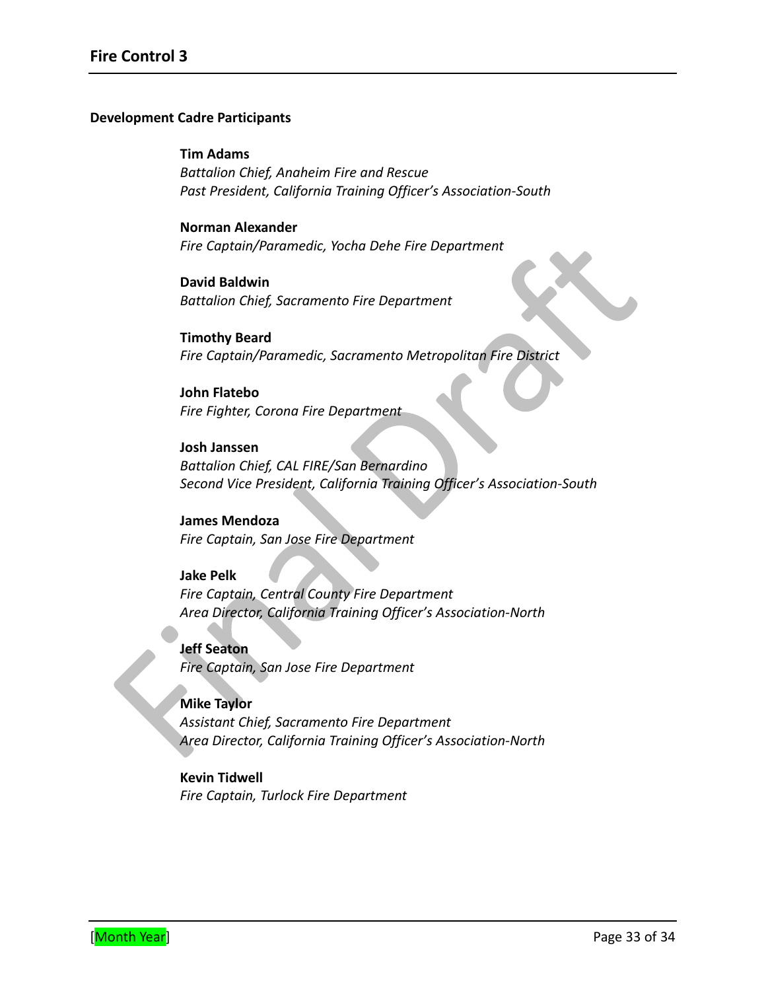#### **Development Cadre Participants**

#### **Tim Adams**

*Battalion Chief, Anaheim Fire and Rescue Past President, California Training Officer's Association-South*

#### **Norman Alexander** *Fire Captain/Paramedic, Yocha Dehe Fire Department*

**David Baldwin** *Battalion Chief, Sacramento Fire Department* 

**Timothy Beard** *Fire Captain/Paramedic, Sacramento Metropolitan Fire District*

#### **John Flatebo** *Fire Fighter, Corona Fire Department*

**Josh Janssen** *Battalion Chief, CAL FIRE/San Bernardino Second Vice President, California Training Officer's Association-South*

#### **James Mendoza** *Fire Captain, San Jose Fire Department*

# **Jake Pelk** *Fire Captain, Central County Fire Department Area Director, California Training Officer's Association-North*

**Jeff Seaton** *Fire Captain, San Jose Fire Department*

#### **Mike Taylor**

*Assistant Chief, Sacramento Fire Department Area Director, California Training Officer's Association-North*

### **Kevin Tidwell** *Fire Captain, Turlock Fire Department*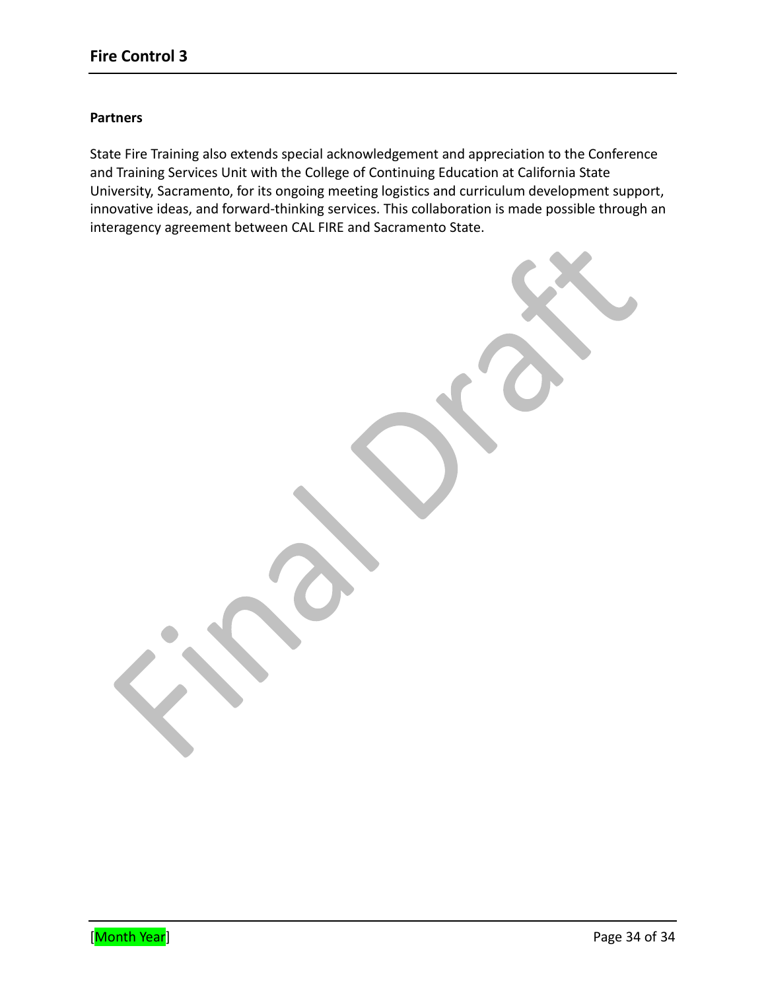#### **Partners**

State Fire Training also extends special acknowledgement and appreciation to the Conference and Training Services Unit with the College of Continuing Education at California State University, Sacramento, for its ongoing meeting logistics and curriculum development support, innovative ideas, and forward-thinking services. This collaboration is made possible through an interagency agreement between CAL FIRE and Sacramento State.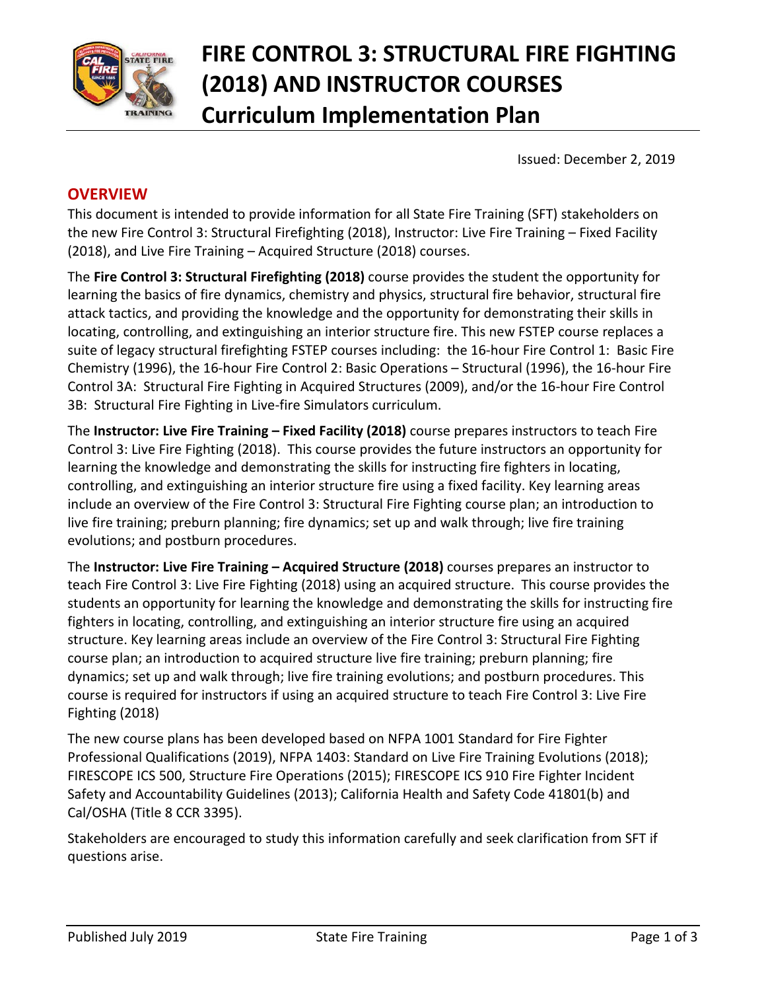

# **FIRE CONTROL 3: STRUCTURAL FIRE FIGHTING (2018) AND INSTRUCTOR COURSES Curriculum Implementation Plan**

Issued: December 2, 2019

# **OVERVIEW**

This document is intended to provide information for all State Fire Training (SFT) stakeholders on the new Fire Control 3: Structural Firefighting (2018), Instructor: Live Fire Training – Fixed Facility (2018), and Live Fire Training – Acquired Structure (2018) courses.

The **Fire Control 3: Structural Firefighting (2018)** course provides the student the opportunity for learning the basics of fire dynamics, chemistry and physics, structural fire behavior, structural fire attack tactics, and providing the knowledge and the opportunity for demonstrating their skills in locating, controlling, and extinguishing an interior structure fire. This new FSTEP course replaces a suite of legacy structural firefighting FSTEP courses including: the 16-hour Fire Control 1: Basic Fire Chemistry (1996), the 16-hour Fire Control 2: Basic Operations – Structural (1996), the 16-hour Fire Control 3A: Structural Fire Fighting in Acquired Structures (2009), and/or the 16-hour Fire Control 3B: Structural Fire Fighting in Live-fire Simulators curriculum.

The **Instructor: Live Fire Training – Fixed Facility (2018)** course prepares instructors to teach Fire Control 3: Live Fire Fighting (2018). This course provides the future instructors an opportunity for learning the knowledge and demonstrating the skills for instructing fire fighters in locating, controlling, and extinguishing an interior structure fire using a fixed facility. Key learning areas include an overview of the Fire Control 3: Structural Fire Fighting course plan; an introduction to live fire training; preburn planning; fire dynamics; set up and walk through; live fire training evolutions; and postburn procedures.

The **Instructor: Live Fire Training – Acquired Structure (2018)** courses prepares an instructor to teach Fire Control 3: Live Fire Fighting (2018) using an acquired structure. This course provides the students an opportunity for learning the knowledge and demonstrating the skills for instructing fire fighters in locating, controlling, and extinguishing an interior structure fire using an acquired structure. Key learning areas include an overview of the Fire Control 3: Structural Fire Fighting course plan; an introduction to acquired structure live fire training; preburn planning; fire dynamics; set up and walk through; live fire training evolutions; and postburn procedures. This course is required for instructors if using an acquired structure to teach Fire Control 3: Live Fire Fighting (2018)

The new course plans has been developed based on NFPA 1001 Standard for Fire Fighter Professional Qualifications (2019), NFPA 1403: Standard on Live Fire Training Evolutions (2018); FIRESCOPE ICS 500, Structure Fire Operations (2015); FIRESCOPE ICS 910 Fire Fighter Incident Safety and Accountability Guidelines (2013); California Health and Safety Code 41801(b) and Cal/OSHA (Title 8 CCR 3395).

Stakeholders are encouraged to study this information carefully and seek clarification from SFT if questions arise.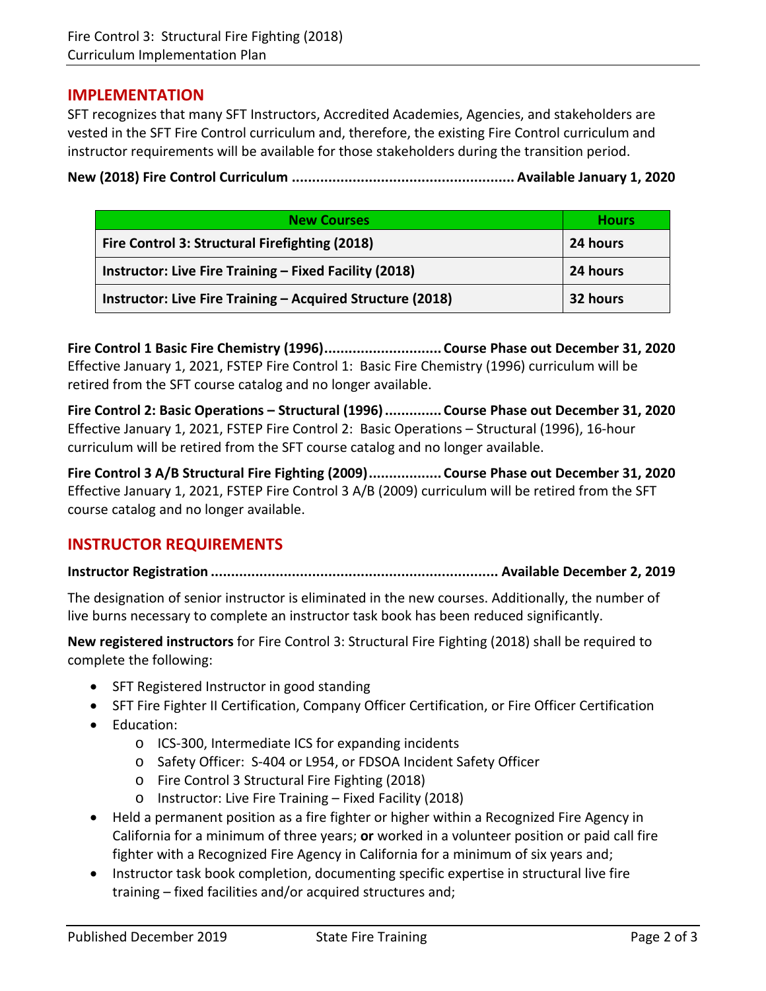#### **IMPLEMENTATION**

SFT recognizes that many SFT Instructors, Accredited Academies, Agencies, and stakeholders are vested in the SFT Fire Control curriculum and, therefore, the existing Fire Control curriculum and instructor requirements will be available for those stakeholders during the transition period.

**New (2018) Fire Control Curriculum ....................................................... Available January 1, 2020**

| <b>New Courses</b>                                         | <b>Hours</b> |
|------------------------------------------------------------|--------------|
| Fire Control 3: Structural Firefighting (2018)             | 24 hours     |
| Instructor: Live Fire Training - Fixed Facility (2018)     | 24 hours     |
| Instructor: Live Fire Training - Acquired Structure (2018) | 32 hours     |

**Fire Control 1 Basic Fire Chemistry (1996)............................. Course Phase out December 31, 2020** Effective January 1, 2021, FSTEP Fire Control 1: Basic Fire Chemistry (1996) curriculum will be retired from the SFT course catalog and no longer available.

**Fire Control 2: Basic Operations – Structural (1996).............. Course Phase out December 31, 2020** Effective January 1, 2021, FSTEP Fire Control 2: Basic Operations – Structural (1996), 16-hour curriculum will be retired from the SFT course catalog and no longer available.

**Fire Control 3 A/B Structural Fire Fighting (2009).................. Course Phase out December 31, 2020** Effective January 1, 2021, FSTEP Fire Control 3 A/B (2009) curriculum will be retired from the SFT course catalog and no longer available.

### **INSTRUCTOR REQUIREMENTS**

**Instructor Registration ....................................................................... Available December 2, 2019**

The designation of senior instructor is eliminated in the new courses. Additionally, the number of live burns necessary to complete an instructor task book has been reduced significantly.

**New registered instructors** for Fire Control 3: Structural Fire Fighting (2018) shall be required to complete the following:

- SFT Registered Instructor in good standing
- SFT Fire Fighter II Certification, Company Officer Certification, or Fire Officer Certification
- Education:
	- o ICS-300, Intermediate ICS for expanding incidents
	- o Safety Officer: S-404 or L954, or FDSOA Incident Safety Officer
	- o Fire Control 3 Structural Fire Fighting (2018)
	- o Instructor: Live Fire Training Fixed Facility (2018)
- Held a permanent position as a fire fighter or higher within a Recognized Fire Agency in California for a minimum of three years; **or** worked in a volunteer position or paid call fire fighter with a Recognized Fire Agency in California for a minimum of six years and;
- Instructor task book completion, documenting specific expertise in structural live fire training – fixed facilities and/or acquired structures and;